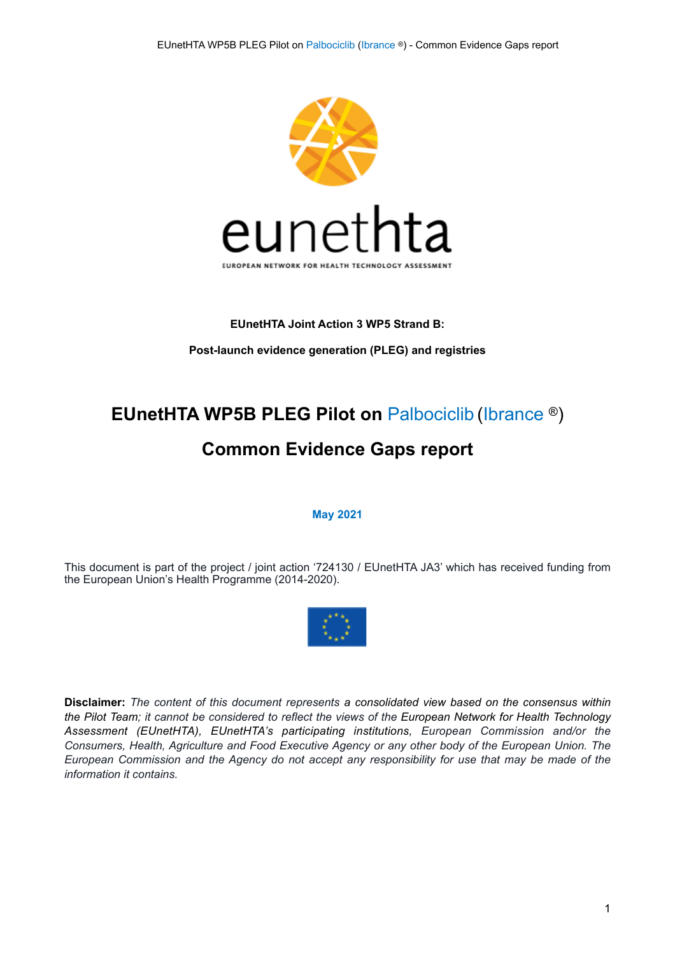

## **EUnetHTA Joint Action 3 WP5 Strand B: Post-launch evidence generation (PLEG) and registries**

# **EUnetHTA WP5B PLEG Pilot on** Palbociclib (Ibrance ®)

## **Common Evidence Gaps report**

**May 2021** 

This document is part of the project / joint action '724130 / EUnetHTA JA3' which has received funding from the European Union's Health Programme (2014-2020).



**Disclaimer:** *The content of this document represents a consolidated view based on the consensus within the Pilot Team; it cannot be considered to reflect the views of the European Network for Health Technology Assessment (EUnetHTA), EUnetHTA's participating institutions, European Commission and/or the Consumers, Health, Agriculture and Food Executive Agency or any other body of the European Union. The European Commission and the Agency do not accept any responsibility for use that may be made of the information it contains.*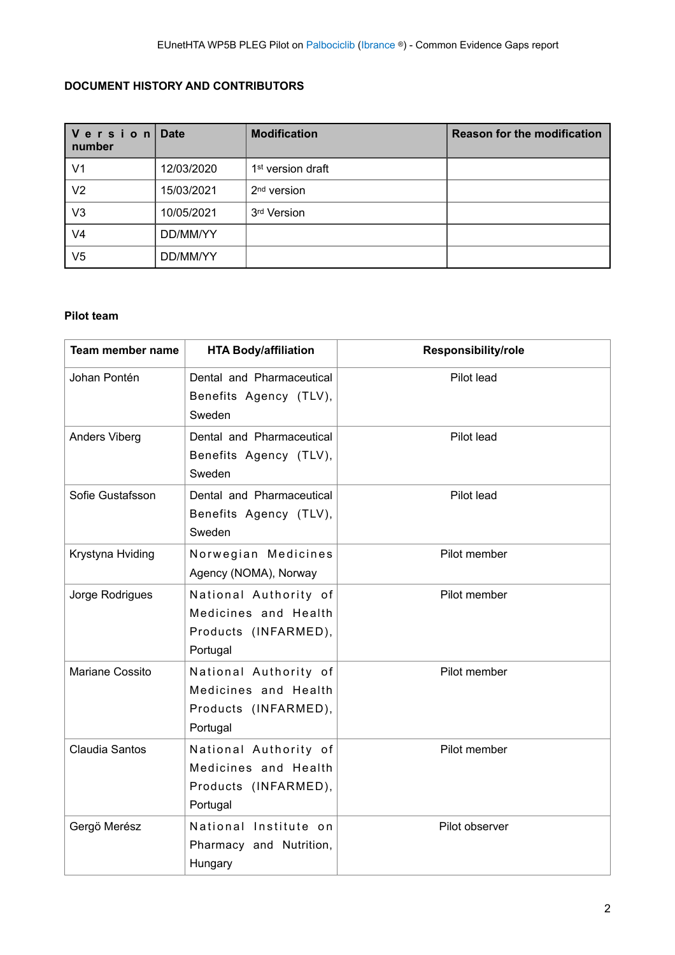## **DOCUMENT HISTORY AND CONTRIBUTORS**

| Version<br>number | <b>Date</b> | <b>Modification</b>           | <b>Reason for the modification</b> |
|-------------------|-------------|-------------------------------|------------------------------------|
| V <sub>1</sub>    | 12/03/2020  | 1 <sup>st</sup> version draft |                                    |
| V <sub>2</sub>    | 15/03/2021  | 2 <sup>nd</sup> version       |                                    |
| V3                | 10/05/2021  | 3rd Version                   |                                    |
| V4                | DD/MM/YY    |                               |                                    |
| V5                | DD/MM/YY    |                               |                                    |

#### **Pilot team**

| Team member name | <b>HTA Body/affiliation</b>                                                       | <b>Responsibility/role</b> |
|------------------|-----------------------------------------------------------------------------------|----------------------------|
| Johan Pontén     | Dental and Pharmaceutical<br>Benefits Agency (TLV),<br>Sweden                     | Pilot lead                 |
| Anders Viberg    | Dental and Pharmaceutical<br>Benefits Agency (TLV),<br>Sweden                     | Pilot lead                 |
| Sofie Gustafsson | Dental and Pharmaceutical<br>Benefits Agency (TLV),<br>Sweden                     | Pilot lead                 |
| Krystyna Hviding | Norwegian Medicines<br>Agency (NOMA), Norway                                      | Pilot member               |
| Jorge Rodrigues  | National Authority of<br>Medicines and Health<br>Products (INFARMED),<br>Portugal | Pilot member               |
| Mariane Cossito  | National Authority of<br>Medicines and Health<br>Products (INFARMED),<br>Portugal | Pilot member               |
| Claudia Santos   | National Authority of<br>Medicines and Health<br>Products (INFARMED),<br>Portugal | Pilot member               |
| Gergö Merész     | National Institute on<br>Pharmacy and Nutrition,<br>Hungary                       | Pilot observer             |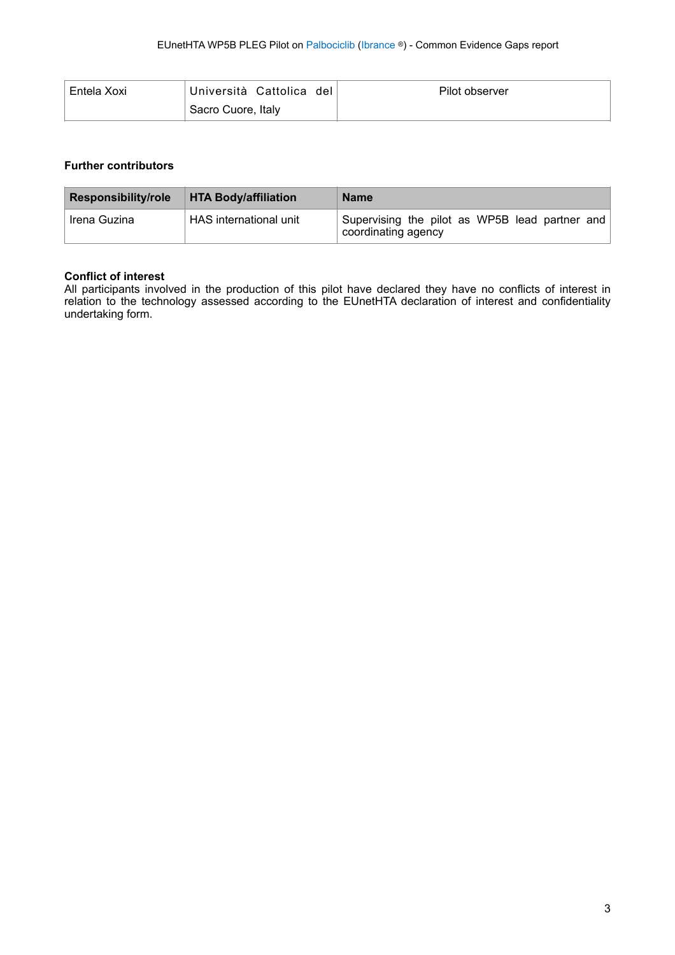| Entela Xoxi | Università Cattolica del | Pilot observer |
|-------------|--------------------------|----------------|
|             | Sacro Cuore, Italy       |                |

#### **Further contributors**

| <b>Responsibility/role</b> | <b>HTA Body/affiliation</b> | <b>Name</b>                                                           |
|----------------------------|-----------------------------|-----------------------------------------------------------------------|
| Irena Guzina               | HAS international unit      | Supervising the pilot as WP5B lead partner and<br>coordinating agency |

#### **Conflict of interest**

All participants involved in the production of this pilot have declared they have no conflicts of interest in relation to the technology assessed according to the EUnetHTA declaration of interest and confidentiality undertaking form.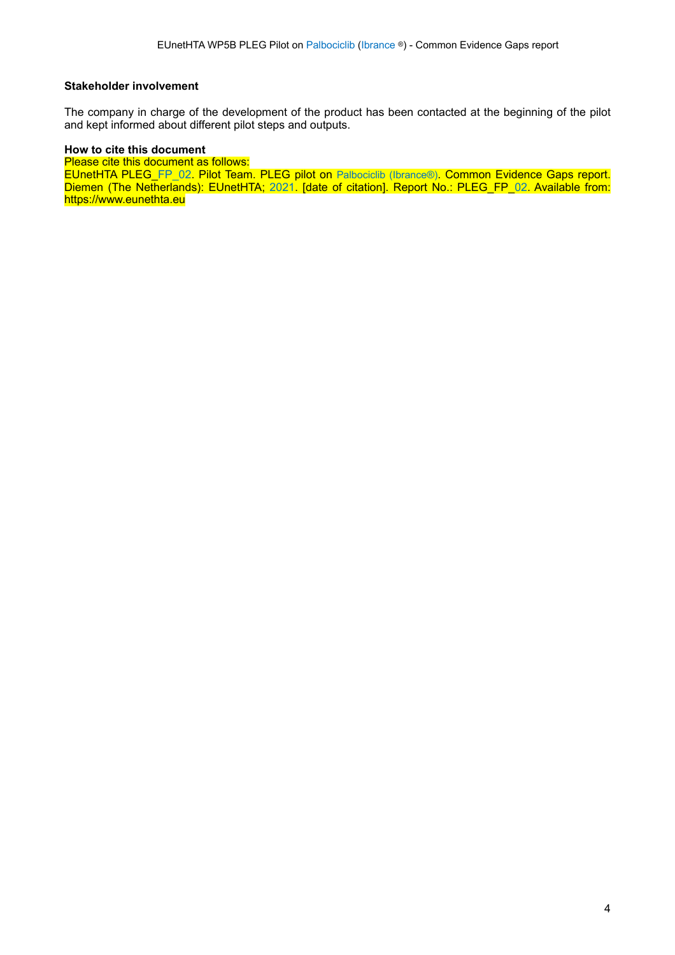#### **Stakeholder involvement**

The company in charge of the development of the product has been contacted at the beginning of the pilot and kept informed about different pilot steps and outputs.

#### **How to cite this document**

Please cite this document as follows:

EUnetHTA PLEG\_FP\_02. Pilot Team. PLEG pilot on Palbociclib (Ibrance®). Common Evidence Gaps report. Diemen (The Netherlands): EUnetHTA; 2021. [date of citation]. Report No.: PLEG\_FP\_02. Available from: https://www.eunethta.eu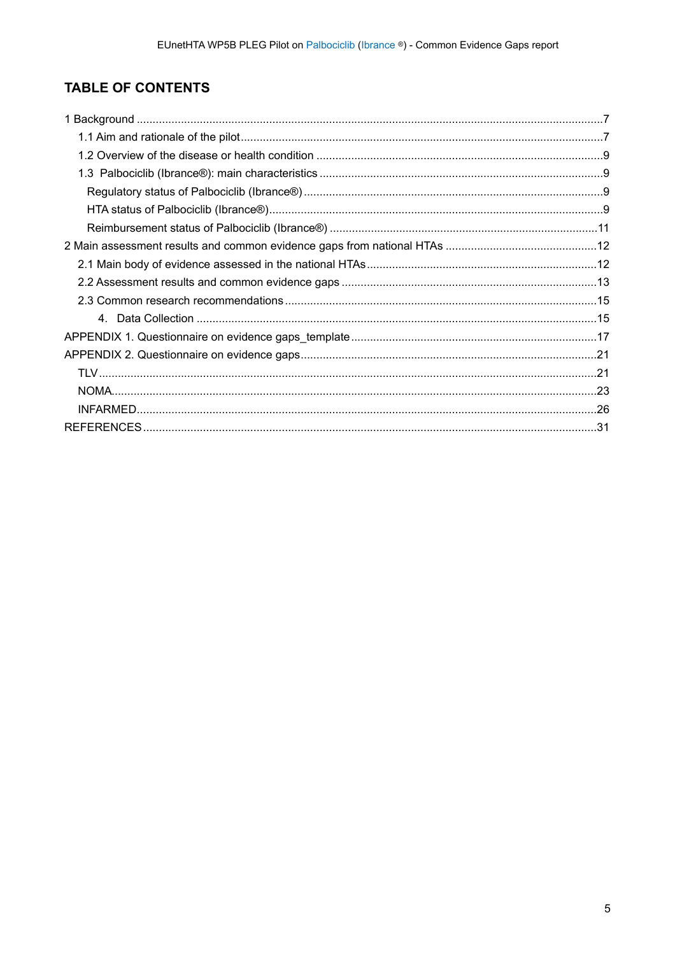## TABLE OF CONTENTS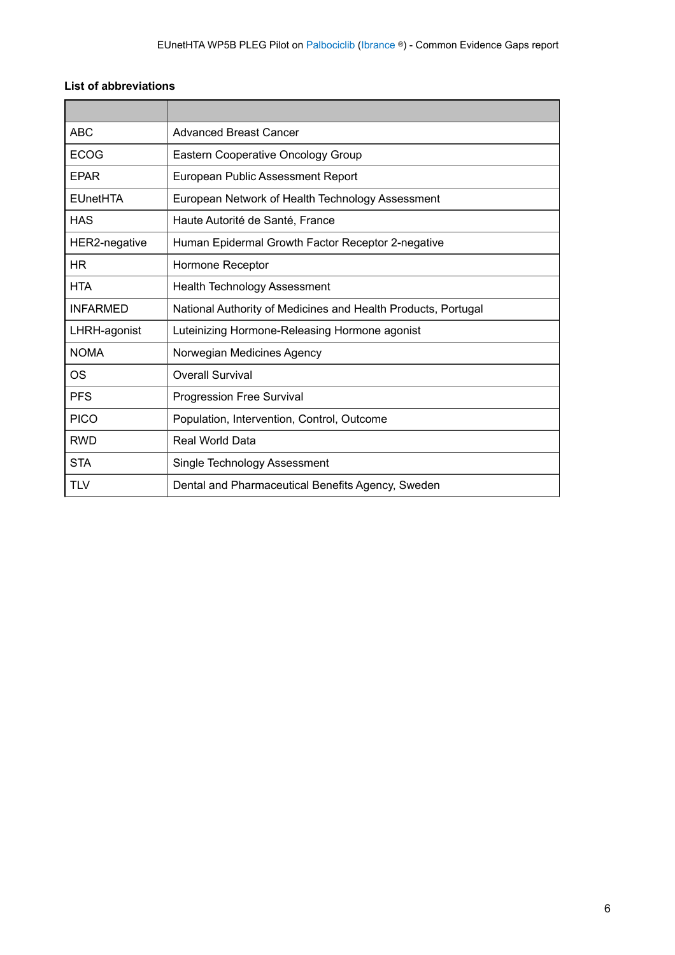### **List of abbreviations**

| <b>ABC</b>      | <b>Advanced Breast Cancer</b>                                 |
|-----------------|---------------------------------------------------------------|
| <b>ECOG</b>     | <b>Eastern Cooperative Oncology Group</b>                     |
| <b>FPAR</b>     | European Public Assessment Report                             |
| <b>EUnetHTA</b> | European Network of Health Technology Assessment              |
| <b>HAS</b>      | Haute Autorité de Santé, France                               |
| HER2-negative   | Human Epidermal Growth Factor Receptor 2-negative             |
| <b>HR</b>       | Hormone Receptor                                              |
| <b>HTA</b>      | <b>Health Technology Assessment</b>                           |
| <b>INFARMED</b> | National Authority of Medicines and Health Products, Portugal |
| LHRH-agonist    | Luteinizing Hormone-Releasing Hormone agonist                 |
| <b>NOMA</b>     | Norwegian Medicines Agency                                    |
| <b>OS</b>       | <b>Overall Survival</b>                                       |
| <b>PFS</b>      | <b>Progression Free Survival</b>                              |
| <b>PICO</b>     | Population, Intervention, Control, Outcome                    |
| <b>RWD</b>      | Real World Data                                               |
| <b>STA</b>      | Single Technology Assessment                                  |
| <b>TLV</b>      | Dental and Pharmaceutical Benefits Agency, Sweden             |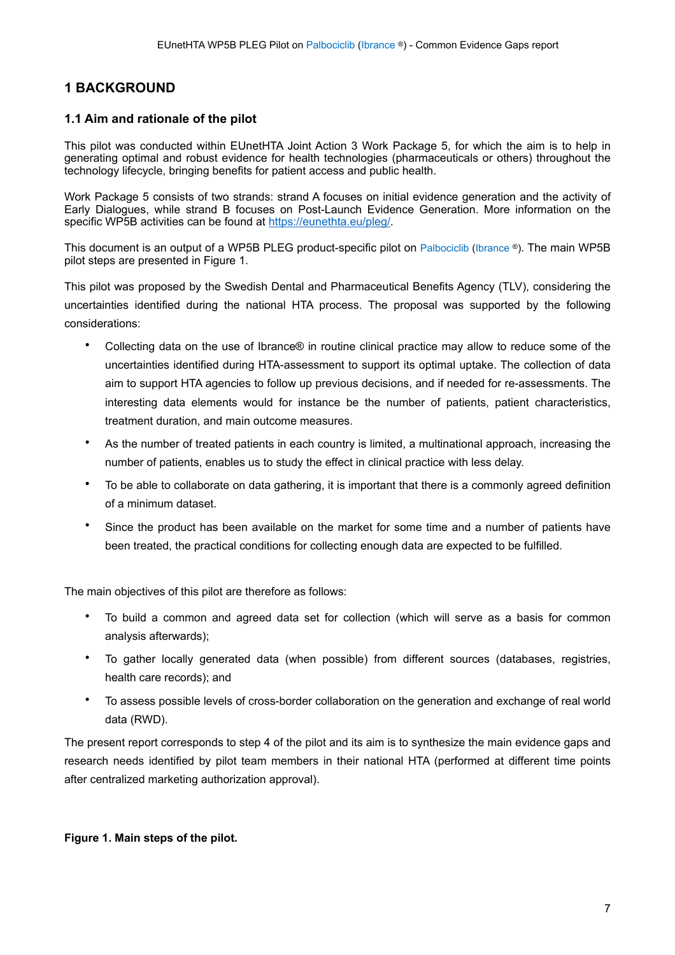### <span id="page-6-0"></span>**1 BACKGROUND**

#### <span id="page-6-1"></span>**1.1 Aim and rationale of the pilot**

This pilot was conducted within EUnetHTA Joint Action 3 Work Package 5, for which the aim is to help in generating optimal and robust evidence for health technologies (pharmaceuticals or others) throughout the technology lifecycle, bringing benefits for patient access and public health.

Work Package 5 consists of two strands: strand A focuses on initial evidence generation and the activity of Early Dialogues, while strand B focuses on Post-Launch Evidence Generation. More information on the specific WP5B activities can be found at <https://eunethta.eu/pleg/>.

This document is an output of a WP5B PLEG product-specific pilot on Palbociclib (Ibrance ®). The main WP5B pilot steps are presented in Figure 1.

This pilot was proposed by the Swedish Dental and Pharmaceutical Benefits Agency (TLV), considering the uncertainties identified during the national HTA process. The proposal was supported by the following considerations:

- Collecting data on the use of Ibrance® in routine clinical practice may allow to reduce some of the uncertainties identified during HTA-assessment to support its optimal uptake. The collection of data aim to support HTA agencies to follow up previous decisions, and if needed for re-assessments. The interesting data elements would for instance be the number of patients, patient characteristics, treatment duration, and main outcome measures.
- As the number of treated patients in each country is limited, a multinational approach, increasing the number of patients, enables us to study the effect in clinical practice with less delay.
- To be able to collaborate on data gathering, it is important that there is a commonly agreed definition of a minimum dataset.
- Since the product has been available on the market for some time and a number of patients have been treated, the practical conditions for collecting enough data are expected to be fulfilled.

The main objectives of this pilot are therefore as follows:

- To build a common and agreed data set for collection (which will serve as a basis for common analysis afterwards);
- To gather locally generated data (when possible) from different sources (databases, registries, health care records); and
- To assess possible levels of cross-border collaboration on the generation and exchange of real world data (RWD).

The present report corresponds to step 4 of the pilot and its aim is to synthesize the main evidence gaps and research needs identified by pilot team members in their national HTA (performed at different time points after centralized marketing authorization approval).

#### **Figure 1. Main steps of the pilot.**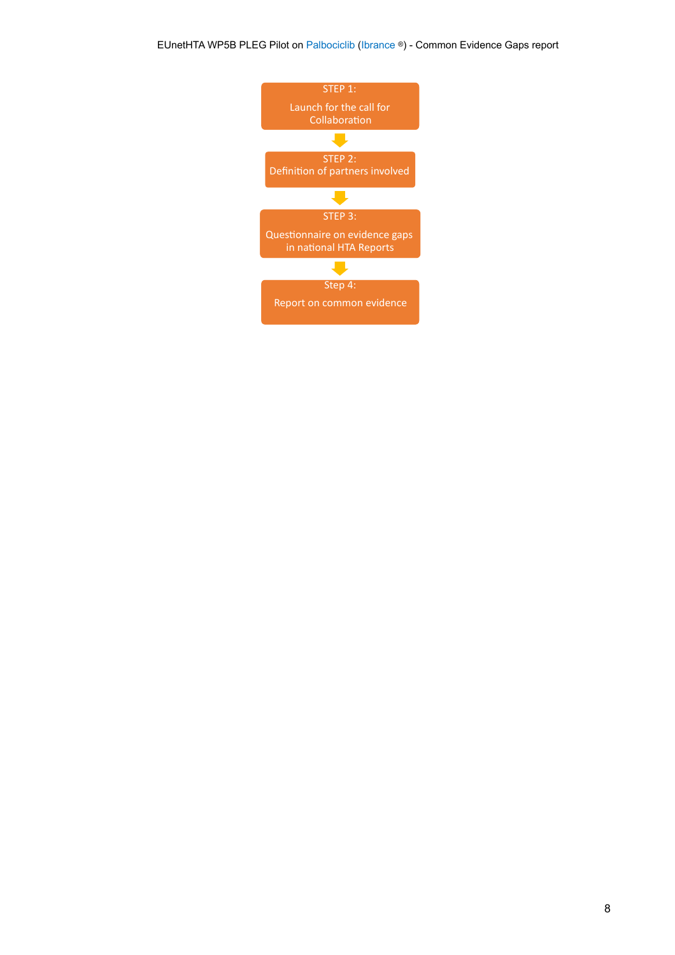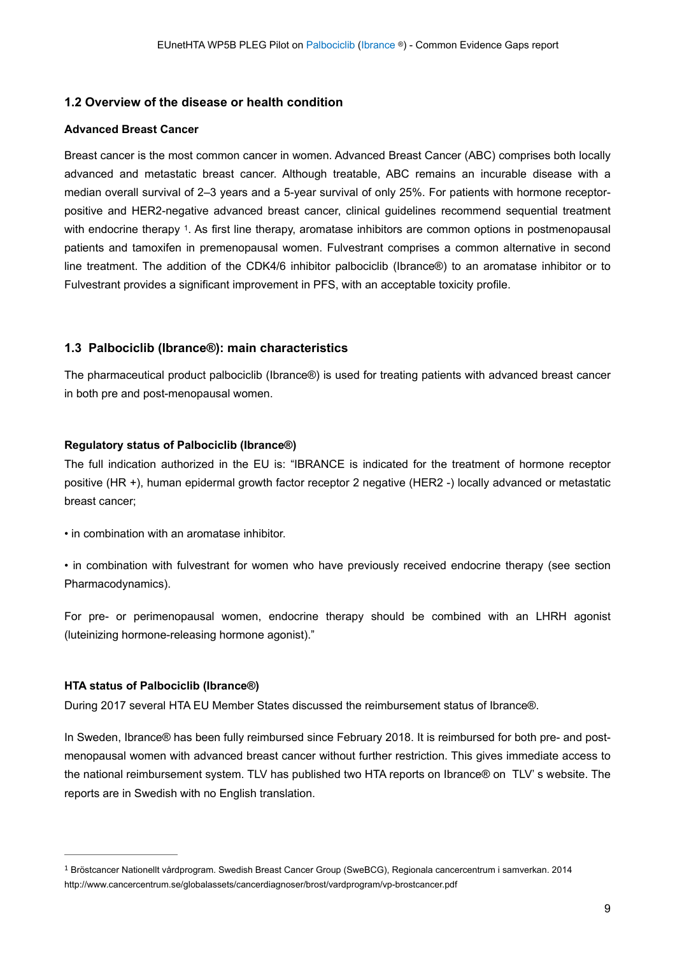#### <span id="page-8-0"></span>**1.2 Overview of the disease or health condition**

#### **Advanced Breast Cancer**

<span id="page-8-5"></span>Breast cancer is the most common cancer in women. Advanced Breast Cancer (ABC) comprises both locally advanced and metastatic breast cancer. Although treatable, ABC remains an incurable disease with a median overall survival of 2–3 years and a 5-year survival of only 25%. For patients with hormone receptorpositive and HER2-negative advanced breast cancer, clinical guidelines recommend sequential treatment with endocrine therapy <sup>1</sup>[.](#page-8-4) As first line therapy, aromatase inhibitors are common options in postmenopausal patients and tamoxifen in premenopausal women. Fulvestrant comprises a common alternative in second line treatment. The addition of the CDK4/6 inhibitor palbociclib (Ibrance®) to an aromatase inhibitor or to Fulvestrant provides a significant improvement in PFS, with an acceptable toxicity profile.

#### <span id="page-8-1"></span>**1.3 Palbociclib (Ibrance®): main characteristics**

The pharmaceutical product palbociclib (Ibrance®) is used for treating patients with advanced breast cancer in both pre and post-menopausal women.

#### <span id="page-8-2"></span>**Regulatory status of Palbociclib (Ibrance®)**

The full indication authorized in the EU is: "IBRANCE is indicated for the treatment of hormone receptor positive (HR +), human epidermal growth factor receptor 2 negative (HER2 -) locally advanced or metastatic breast cancer;

• in combination with an aromatase inhibitor.

• in combination with fulvestrant for women who have previously received endocrine therapy (see section Pharmacodynamics).

For pre- or perimenopausal women, endocrine therapy should be combined with an LHRH agonist (luteinizing hormone-releasing hormone agonist)."

#### <span id="page-8-3"></span>**HTA status of Palbociclib (Ibrance®)**

During 2017 several HTA EU Member States discussed the reimbursement status of Ibrance®.

In Sweden, Ibrance® has been fully reimbursed since February 2018. It is reimbursed for both pre- and postmenopausal women with advanced breast cancer without further restriction. This gives immediate access to the national reimbursement system. TLV has published two HTA reports on Ibrance® on TLV' s website. The reports are in Swedish with no English translation.

<span id="page-8-4"></span>Bröstcancer Nationellt vårdprogram. Swedish Breast Cancer Group (SweBCG), Regionala cancercentrum i samverkan. 2014 [1](#page-8-5) http://www.cancercentrum.se/globalassets/cancerdiagnoser/brost/vardprogram/vp-brostcancer.pdf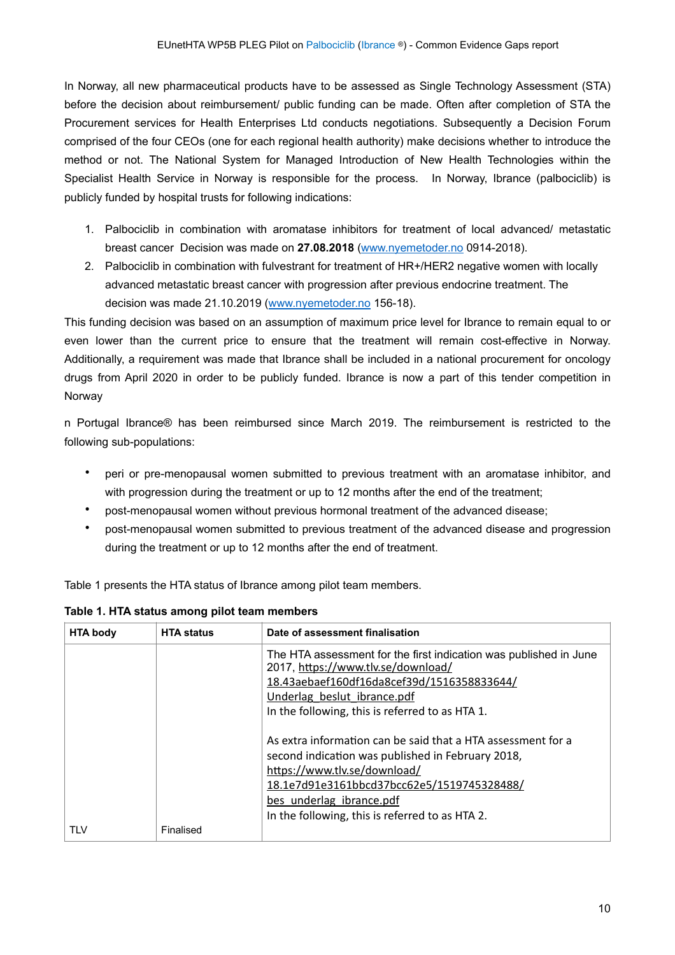In Norway, all new pharmaceutical products have to be assessed as Single Technology Assessment (STA) before the decision about reimbursement/ public funding can be made. Often after completion of STA the Procurement services for Health Enterprises Ltd conducts negotiations. Subsequently a Decision Forum comprised of the four CEOs (one for each regional health authority) make decisions whether to introduce the method or not. The National System for Managed Introduction of New Health Technologies within the Specialist Health Service in Norway is responsible for the process. In Norway, Ibrance (palbociclib) is publicly funded by hospital trusts for following indications:

- 1. Palbociclib in combination with aromatase inhibitors for treatment of local advanced/ metastatic breast cancer Decision was made on **27.08.2018** [\(www.nyemetoder.no](http://www.nyemetoder.no) 0914-2018).
- 2. Palbociclib in combination with fulvestrant for treatment of HR+/HER2 negative women with locally advanced metastatic breast cancer with progression after previous endocrine treatment. The decision was made 21.10.2019 ([www.nyemetoder.no](http://www.nyemetoder.no) 156-18).

This funding decision was based on an assumption of maximum price level for Ibrance to remain equal to or even lower than the current price to ensure that the treatment will remain cost-effective in Norway. Additionally, a requirement was made that Ibrance shall be included in a national procurement for oncology drugs from April 2020 in order to be publicly funded. Ibrance is now a part of this tender competition in Norway

n Portugal Ibrance® has been reimbursed since March 2019. The reimbursement is restricted to the following sub-populations:

- peri or pre-menopausal women submitted to previous treatment with an aromatase inhibitor, and with progression during the treatment or up to 12 months after the end of the treatment;
- post-menopausal women without previous hormonal treatment of the advanced disease;
- post-menopausal women submitted to previous treatment of the advanced disease and progression during the treatment or up to 12 months after the end of treatment.

Table 1 presents the HTA status of Ibrance among pilot team members.

| <b>HTA body</b> | <b>HTA status</b> | Date of assessment finalisation                                                                                                                                                                                                                                                |
|-----------------|-------------------|--------------------------------------------------------------------------------------------------------------------------------------------------------------------------------------------------------------------------------------------------------------------------------|
|                 |                   | The HTA assessment for the first indication was published in June<br>2017, https://www.tlv.se/download/<br>18.43aebaef160df16da8cef39d/1516358833644/<br>Underlag beslut ibrance.pdf<br>In the following, this is referred to as HTA 1.                                        |
|                 |                   | As extra information can be said that a HTA assessment for a<br>second indication was published in February 2018,<br>https://www.tlv.se/download/<br>18.1e7d91e3161bbcd37bcc62e5/1519745328488/<br>bes underlag ibrance.pdf<br>In the following, this is referred to as HTA 2. |
| TLV             | Finalised         |                                                                                                                                                                                                                                                                                |

#### **Table 1. HTA status among pilot team members**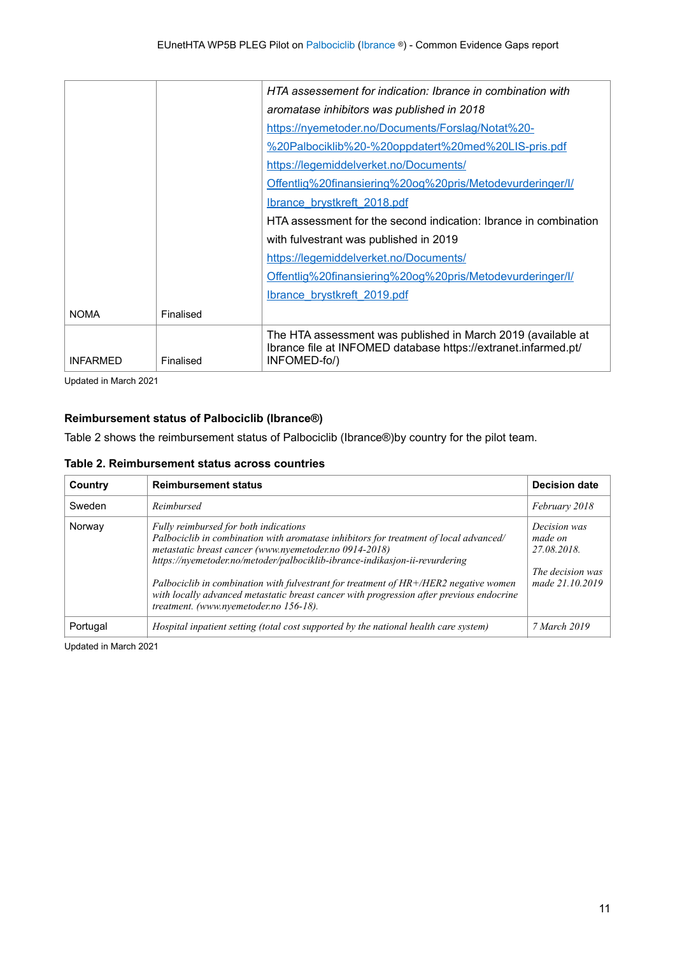|                 |           | HTA assessement for indication: Ibrance in combination with                                                                                    |
|-----------------|-----------|------------------------------------------------------------------------------------------------------------------------------------------------|
|                 |           | aromatase inhibitors was published in 2018                                                                                                     |
|                 |           | https://nyemetoder.no/Documents/Forslag/Notat%20-                                                                                              |
|                 |           | %20Palbociklib%20-%20oppdatert%20med%20LIS-pris.pdf                                                                                            |
|                 |           | https://legemiddelverket.no/Documents/                                                                                                         |
|                 |           | Offentlig%20finansiering%20og%20pris/Metodevurderinger/I/                                                                                      |
|                 |           | Ibrance brystkreft 2018.pdf                                                                                                                    |
|                 |           | HTA assessment for the second indication: Ibrance in combination                                                                               |
|                 |           | with fulvestrant was published in 2019                                                                                                         |
|                 |           | https://legemiddelverket.no/Documents/                                                                                                         |
|                 |           | Offentlig%20finansiering%20og%20pris/Metodevurderinger/I/                                                                                      |
|                 |           | Ibrance brystkreft 2019.pdf                                                                                                                    |
| <b>NOMA</b>     | Finalised |                                                                                                                                                |
| <b>INFARMED</b> | Finalised | The HTA assessment was published in March 2019 (available at<br>Ibrance file at INFOMED database https://extranet.infarmed.pt/<br>INFOMED-fo/) |

Updated in March 2021

#### <span id="page-10-0"></span>**Reimbursement status of Palbociclib (Ibrance®)**

Table 2 shows the reimbursement status of Palbociclib (Ibrance®)by country for the pilot team.

|  |  | Table 2. Reimbursement status across countries |  |  |  |
|--|--|------------------------------------------------|--|--|--|
|--|--|------------------------------------------------|--|--|--|

| Country  | <b>Reimbursement status</b>                                                                                                                                                                                                                                                                                                                                                                                                                                                                             | <b>Decision date</b>                                                          |
|----------|---------------------------------------------------------------------------------------------------------------------------------------------------------------------------------------------------------------------------------------------------------------------------------------------------------------------------------------------------------------------------------------------------------------------------------------------------------------------------------------------------------|-------------------------------------------------------------------------------|
| Sweden   | Reimbursed                                                                                                                                                                                                                                                                                                                                                                                                                                                                                              | February 2018                                                                 |
| Norway   | Fully reimbursed for both indications<br>Palbociclib in combination with aromatase inhibitors for treatment of local advanced/<br>metastatic breast cancer (www.nyemetoder.no 0914-2018)<br>https://nyemetoder.no/metoder/palbociklib-ibrance-indikasjon-ii-revurdering<br>Palbociclib in combination with fulvestrant for treatment of $HR+/HER2$ negative women<br>with locally advanced metastatic breast cancer with progression after previous endocrine<br>treatment. (www.nyemetoder.no 156-18). | Decision was<br>made on<br>27.08.2018.<br>The decision was<br>made 21.10.2019 |
| Portugal | Hospital inpatient setting (total cost supported by the national health care system)                                                                                                                                                                                                                                                                                                                                                                                                                    | 7 March 2019                                                                  |

Updated in March 2021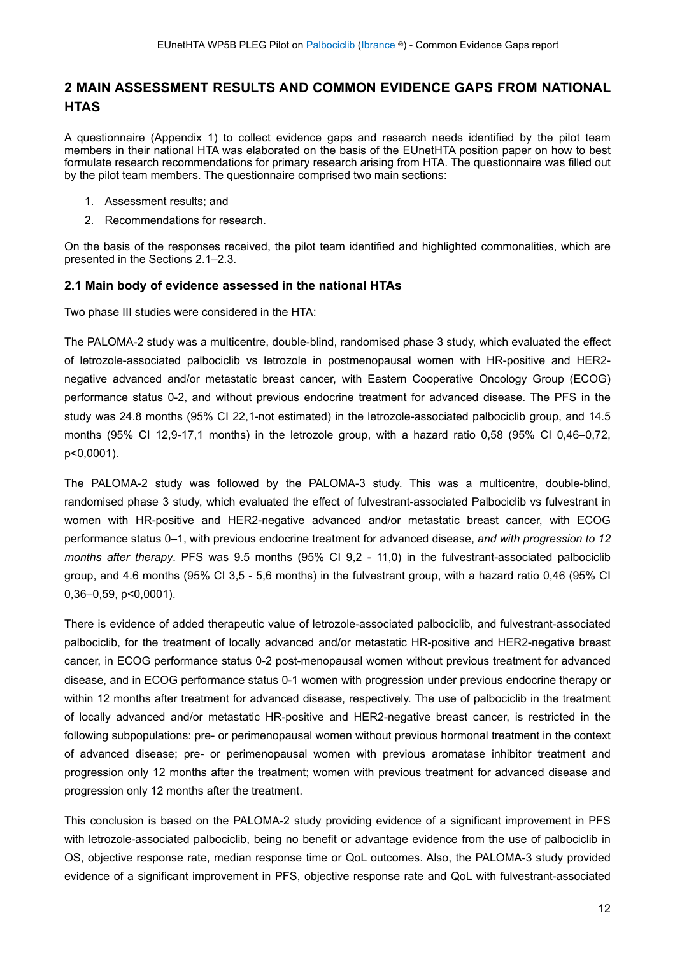### <span id="page-11-0"></span>**2 MAIN ASSESSMENT RESULTS AND COMMON EVIDENCE GAPS FROM NATIONAL HTAS**

A questionnaire (Appendix 1) to collect evidence gaps and research needs identified by the pilot team members in their national HTA was elaborated on the basis of the EUnetHTA position paper on how to best formulate research recommendations for primary research arising from HTA. The questionnaire was filled out by the pilot team members. The questionnaire comprised two main sections:

- 1. Assessment results; and
- 2. Recommendations for research.

On the basis of the responses received, the pilot team identified and highlighted commonalities, which are presented in the Sections 2.1–2.3.

#### <span id="page-11-1"></span>**2.1 Main body of evidence assessed in the national HTAs**

Two phase III studies were considered in the HTA:

The PALOMA-2 study was a multicentre, double-blind, randomised phase 3 study, which evaluated the effect of letrozole-associated palbociclib vs letrozole in postmenopausal women with HR-positive and HER2 negative advanced and/or metastatic breast cancer, with Eastern Cooperative Oncology Group (ECOG) performance status 0-2, and without previous endocrine treatment for advanced disease. The PFS in the study was 24.8 months (95% CI 22,1-not estimated) in the letrozole-associated palbociclib group, and 14.5 months (95% CI 12,9-17,1 months) in the letrozole group, with a hazard ratio 0,58 (95% CI 0,46–0,72, p<0,0001).

The PALOMA-2 study was followed by the PALOMA-3 study. This was a multicentre, double-blind, randomised phase 3 study, which evaluated the effect of fulvestrant-associated Palbociclib vs fulvestrant in women with HR-positive and HER2-negative advanced and/or metastatic breast cancer, with ECOG performance status 0–1, with previous endocrine treatment for advanced disease, *and with progression to 12 months after therapy*. PFS was 9.5 months (95% CI 9,2 - 11,0) in the fulvestrant-associated palbociclib group, and 4.6 months (95% CI 3,5 - 5,6 months) in the fulvestrant group, with a hazard ratio 0,46 (95% CI 0,36–0,59, p<0,0001).

There is evidence of added therapeutic value of letrozole-associated palbociclib, and fulvestrant-associated palbociclib, for the treatment of locally advanced and/or metastatic HR-positive and HER2-negative breast cancer, in ECOG performance status 0-2 post-menopausal women without previous treatment for advanced disease, and in ECOG performance status 0-1 women with progression under previous endocrine therapy or within 12 months after treatment for advanced disease, respectively. The use of palbociclib in the treatment of locally advanced and/or metastatic HR-positive and HER2-negative breast cancer, is restricted in the following subpopulations: pre- or perimenopausal women without previous hormonal treatment in the context of advanced disease; pre- or perimenopausal women with previous aromatase inhibitor treatment and progression only 12 months after the treatment; women with previous treatment for advanced disease and progression only 12 months after the treatment.

This conclusion is based on the PALOMA-2 study providing evidence of a significant improvement in PFS with letrozole-associated palbociclib, being no benefit or advantage evidence from the use of palbociclib in OS, objective response rate, median response time or QoL outcomes. Also, the PALOMA-3 study provided evidence of a significant improvement in PFS, objective response rate and QoL with fulvestrant-associated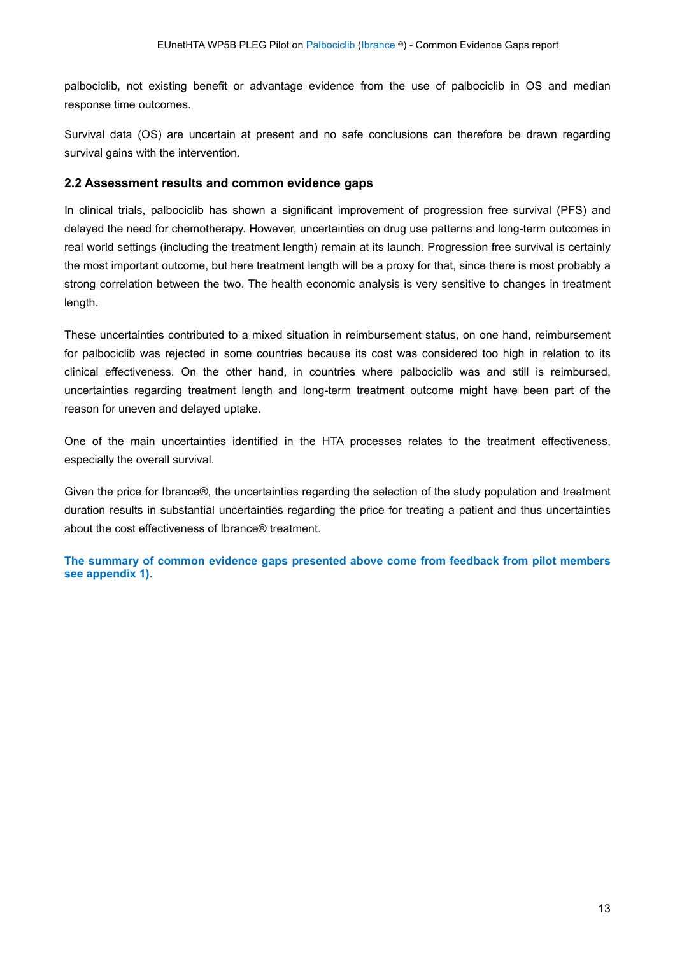palbociclib, not existing benefit or advantage evidence from the use of palbociclib in OS and median response time outcomes.

Survival data (OS) are uncertain at present and no safe conclusions can therefore be drawn regarding survival gains with the intervention.

#### <span id="page-12-0"></span>**2.2 Assessment results and common evidence gaps**

In clinical trials, palbociclib has shown a significant improvement of progression free survival (PFS) and delayed the need for chemotherapy. However, uncertainties on drug use patterns and long-term outcomes in real world settings (including the treatment length) remain at its launch. Progression free survival is certainly the most important outcome, but here treatment length will be a proxy for that, since there is most probably a strong correlation between the two. The health economic analysis is very sensitive to changes in treatment length.

These uncertainties contributed to a mixed situation in reimbursement status, on one hand, reimbursement for palbociclib was rejected in some countries because its cost was considered too high in relation to its clinical effectiveness. On the other hand, in countries where palbociclib was and still is reimbursed, uncertainties regarding treatment length and long-term treatment outcome might have been part of the reason for uneven and delayed uptake.

One of the main uncertainties identified in the HTA processes relates to the treatment effectiveness, especially the overall survival.

Given the price for Ibrance®, the uncertainties regarding the selection of the study population and treatment duration results in substantial uncertainties regarding the price for treating a patient and thus uncertainties about the cost effectiveness of Ibrance® treatment.

**The summary of common evidence gaps presented above come from feedback from pilot members see appendix 1).**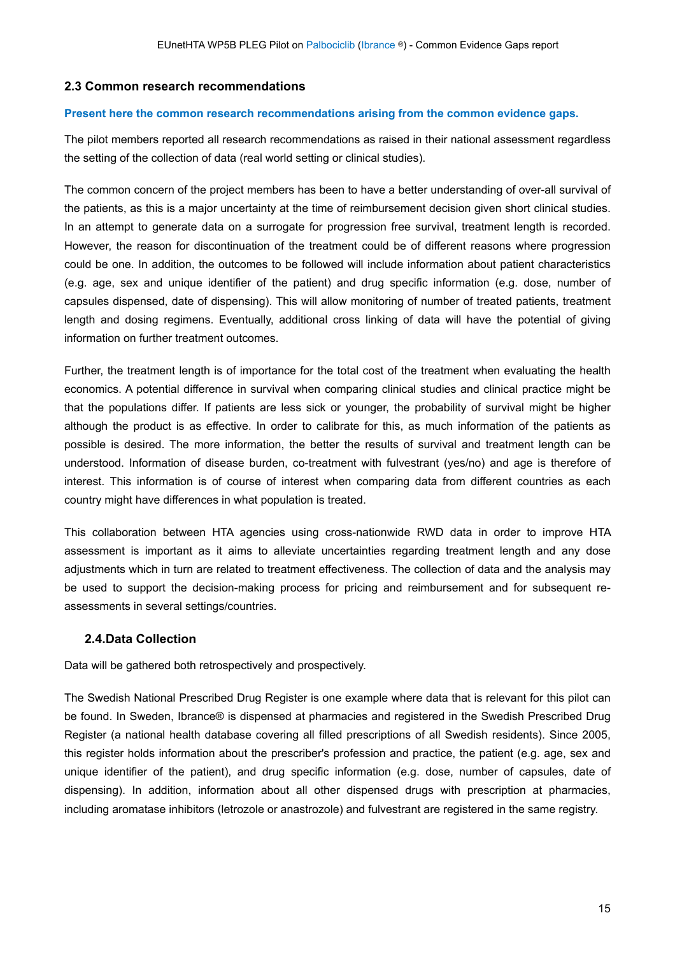#### <span id="page-14-0"></span>**2.3 Common research recommendations**

#### **Present here the common research recommendations arising from the common evidence gaps.**

The pilot members reported all research recommendations as raised in their national assessment regardless the setting of the collection of data (real world setting or clinical studies).

The common concern of the project members has been to have a better understanding of over-all survival of the patients, as this is a major uncertainty at the time of reimbursement decision given short clinical studies. In an attempt to generate data on a surrogate for progression free survival, treatment length is recorded. However, the reason for discontinuation of the treatment could be of different reasons where progression could be one. In addition, the outcomes to be followed will include information about patient characteristics (e.g. age, sex and unique identifier of the patient) and drug specific information (e.g. dose, number of capsules dispensed, date of dispensing). This will allow monitoring of number of treated patients, treatment length and dosing regimens. Eventually, additional cross linking of data will have the potential of giving information on further treatment outcomes.

Further, the treatment length is of importance for the total cost of the treatment when evaluating the health economics. A potential difference in survival when comparing clinical studies and clinical practice might be that the populations differ. If patients are less sick or younger, the probability of survival might be higher although the product is as effective. In order to calibrate for this, as much information of the patients as possible is desired. The more information, the better the results of survival and treatment length can be understood. Information of disease burden, co-treatment with fulvestrant (yes/no) and age is therefore of interest. This information is of course of interest when comparing data from different countries as each country might have differences in what population is treated.

This collaboration between HTA agencies using cross-nationwide RWD data in order to improve HTA assessment is important as it aims to alleviate uncertainties regarding treatment length and any dose adjustments which in turn are related to treatment effectiveness. The collection of data and the analysis may be used to support the decision-making process for pricing and reimbursement and for subsequent reassessments in several settings/countries.

#### <span id="page-14-1"></span>**2.4.Data Collection**

Data will be gathered both retrospectively and prospectively.

The Swedish National Prescribed Drug Register is one example where data that is relevant for this pilot can be found. In Sweden, Ibrance® is dispensed at pharmacies and registered in the Swedish Prescribed Drug Register (a national health database covering all filled prescriptions of all Swedish residents). Since 2005, this register holds information about the prescriber's profession and practice, the patient (e.g. age, sex and unique identifier of the patient), and drug specific information (e.g. dose, number of capsules, date of dispensing). In addition, information about all other dispensed drugs with prescription at pharmacies, including aromatase inhibitors (letrozole or anastrozole) and fulvestrant are registered in the same registry.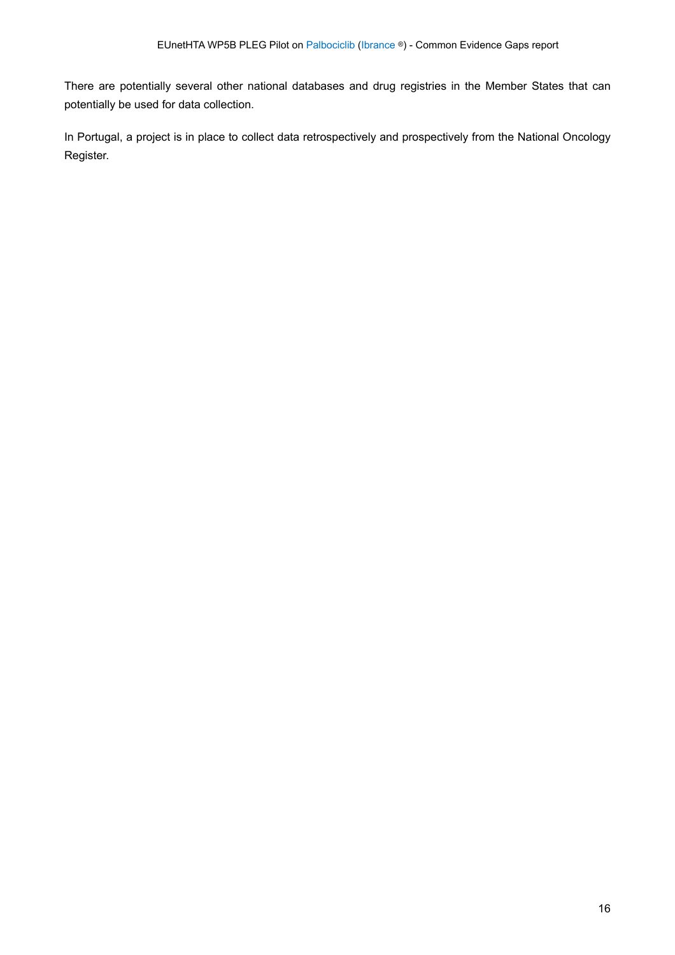There are potentially several other national databases and drug registries in the Member States that can potentially be used for data collection.

In Portugal, a project is in place to collect data retrospectively and prospectively from the National Oncology Register.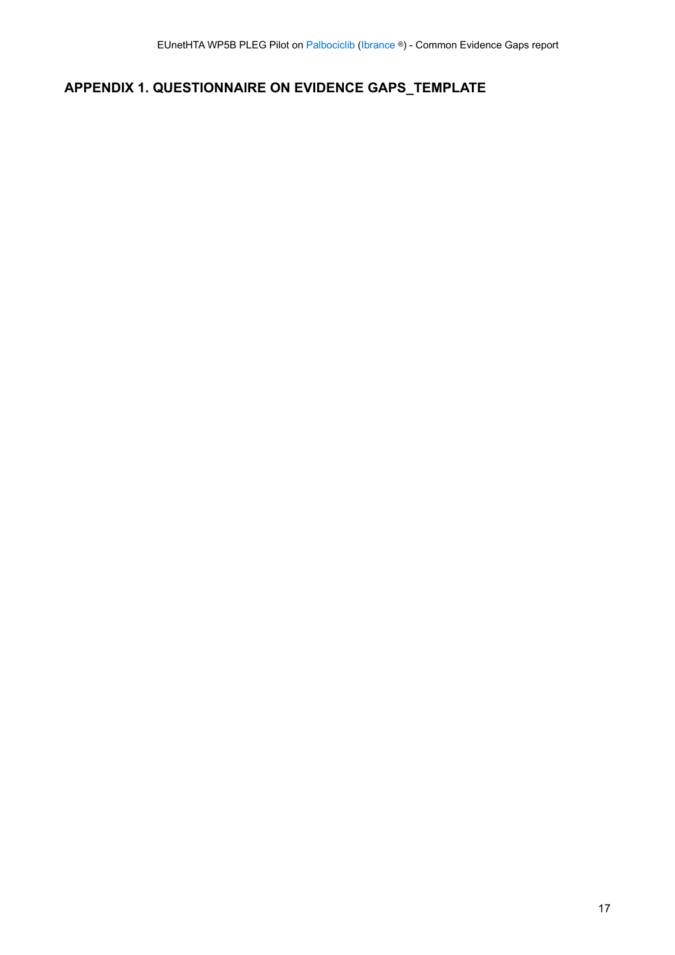## <span id="page-16-0"></span>**APPENDIX 1. QUESTIONNAIRE ON EVIDENCE GAPS\_TEMPLATE**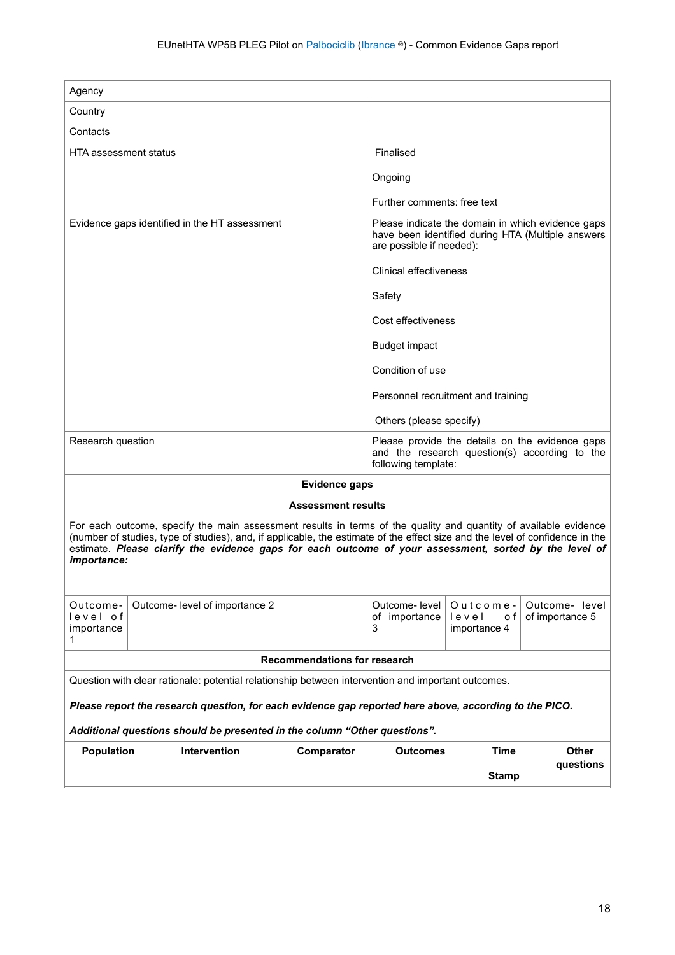| Agency                                                                                                                                                                                                                                                                                                                                                                    |  |                                                                                                        |            |                                                                                                                       |              |  |              |
|---------------------------------------------------------------------------------------------------------------------------------------------------------------------------------------------------------------------------------------------------------------------------------------------------------------------------------------------------------------------------|--|--------------------------------------------------------------------------------------------------------|------------|-----------------------------------------------------------------------------------------------------------------------|--------------|--|--------------|
| Country                                                                                                                                                                                                                                                                                                                                                                   |  |                                                                                                        |            |                                                                                                                       |              |  |              |
| Contacts                                                                                                                                                                                                                                                                                                                                                                  |  |                                                                                                        |            |                                                                                                                       |              |  |              |
| <b>HTA assessment status</b>                                                                                                                                                                                                                                                                                                                                              |  |                                                                                                        |            | Finalised                                                                                                             |              |  |              |
|                                                                                                                                                                                                                                                                                                                                                                           |  |                                                                                                        |            | Ongoing                                                                                                               |              |  |              |
|                                                                                                                                                                                                                                                                                                                                                                           |  |                                                                                                        |            | Further comments: free text                                                                                           |              |  |              |
| Evidence gaps identified in the HT assessment<br>Please indicate the domain in which evidence gaps<br>have been identified during HTA (Multiple answers<br>are possible if needed):                                                                                                                                                                                       |  |                                                                                                        |            |                                                                                                                       |              |  |              |
|                                                                                                                                                                                                                                                                                                                                                                           |  |                                                                                                        |            | <b>Clinical effectiveness</b>                                                                                         |              |  |              |
|                                                                                                                                                                                                                                                                                                                                                                           |  |                                                                                                        |            | Safety                                                                                                                |              |  |              |
|                                                                                                                                                                                                                                                                                                                                                                           |  |                                                                                                        |            | Cost effectiveness                                                                                                    |              |  |              |
|                                                                                                                                                                                                                                                                                                                                                                           |  |                                                                                                        |            | <b>Budget impact</b>                                                                                                  |              |  |              |
|                                                                                                                                                                                                                                                                                                                                                                           |  |                                                                                                        |            | Condition of use                                                                                                      |              |  |              |
|                                                                                                                                                                                                                                                                                                                                                                           |  | Personnel recruitment and training                                                                     |            |                                                                                                                       |              |  |              |
|                                                                                                                                                                                                                                                                                                                                                                           |  |                                                                                                        |            | Others (please specify)                                                                                               |              |  |              |
| Research question<br>Please provide the details on the evidence gaps<br>and the research question(s) according to the<br>following template:                                                                                                                                                                                                                              |  |                                                                                                        |            |                                                                                                                       |              |  |              |
| <b>Evidence gaps</b>                                                                                                                                                                                                                                                                                                                                                      |  |                                                                                                        |            |                                                                                                                       |              |  |              |
| <b>Assessment results</b>                                                                                                                                                                                                                                                                                                                                                 |  |                                                                                                        |            |                                                                                                                       |              |  |              |
| For each outcome, specify the main assessment results in terms of the quality and quantity of available evidence<br>(number of studies, type of studies), and, if applicable, the estimate of the effect size and the level of confidence in the<br>estimate. Please clarify the evidence gaps for each outcome of your assessment, sorted by the level of<br>importance: |  |                                                                                                        |            |                                                                                                                       |              |  |              |
| Outcome-<br>level of<br>importance<br>1                                                                                                                                                                                                                                                                                                                                   |  | Outcome- level of importance 2                                                                         |            | Outcome- level<br>Outcome-<br>Outcome- level<br>of importance<br>level<br>of importance 5<br>o f<br>3<br>importance 4 |              |  |              |
| <b>Recommendations for research</b>                                                                                                                                                                                                                                                                                                                                       |  |                                                                                                        |            |                                                                                                                       |              |  |              |
| Question with clear rationale: potential relationship between intervention and important outcomes.                                                                                                                                                                                                                                                                        |  |                                                                                                        |            |                                                                                                                       |              |  |              |
|                                                                                                                                                                                                                                                                                                                                                                           |  | Please report the research question, for each evidence gap reported here above, according to the PICO. |            |                                                                                                                       |              |  |              |
|                                                                                                                                                                                                                                                                                                                                                                           |  | Additional questions should be presented in the column "Other questions".                              |            |                                                                                                                       |              |  |              |
| Population                                                                                                                                                                                                                                                                                                                                                                |  | <b>Intervention</b>                                                                                    | Comparator | <b>Outcomes</b>                                                                                                       | <b>Time</b>  |  | <b>Other</b> |
|                                                                                                                                                                                                                                                                                                                                                                           |  |                                                                                                        |            |                                                                                                                       | <b>Stamp</b> |  | questions    |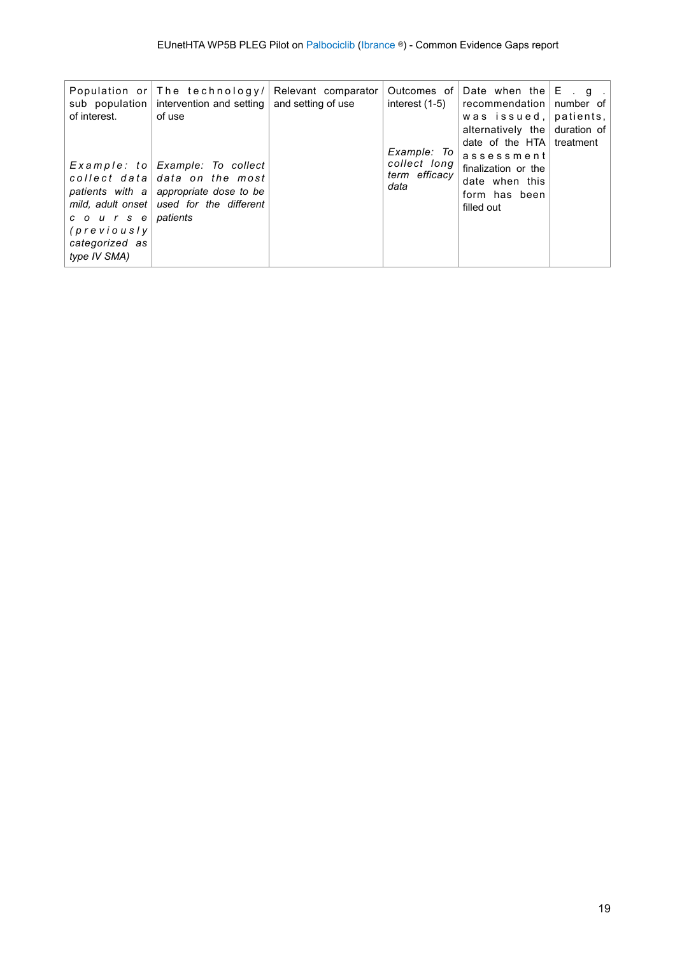| sub population $ $                                                   | Population or The technology/ Relevant comparator<br>intervention and setting $\vert$                                                                                | and setting of use | interest (1-5)                                           | Outcomes of Date when the $E \cdot q$ .<br>  recommendation   number of                                                                                                     |  |
|----------------------------------------------------------------------|----------------------------------------------------------------------------------------------------------------------------------------------------------------------|--------------------|----------------------------------------------------------|-----------------------------------------------------------------------------------------------------------------------------------------------------------------------------|--|
| of interest.                                                         | of use<br>Example: to   Example: To collect<br>collect data data on the most<br>patients with a appropriate dose to be<br>mild, adult onset   used for the different |                    | Example: To $ $<br>collect long<br>term efficacy<br>data | was issued, patients,<br>alternatively the duration of<br>date of the $HTA$ treatment<br>assessment<br>finalization or the<br>date when this<br>form has been<br>filled out |  |
| coursel<br>$(\textit{previously})$<br>categorized as<br>type IV SMA) | patients                                                                                                                                                             |                    |                                                          |                                                                                                                                                                             |  |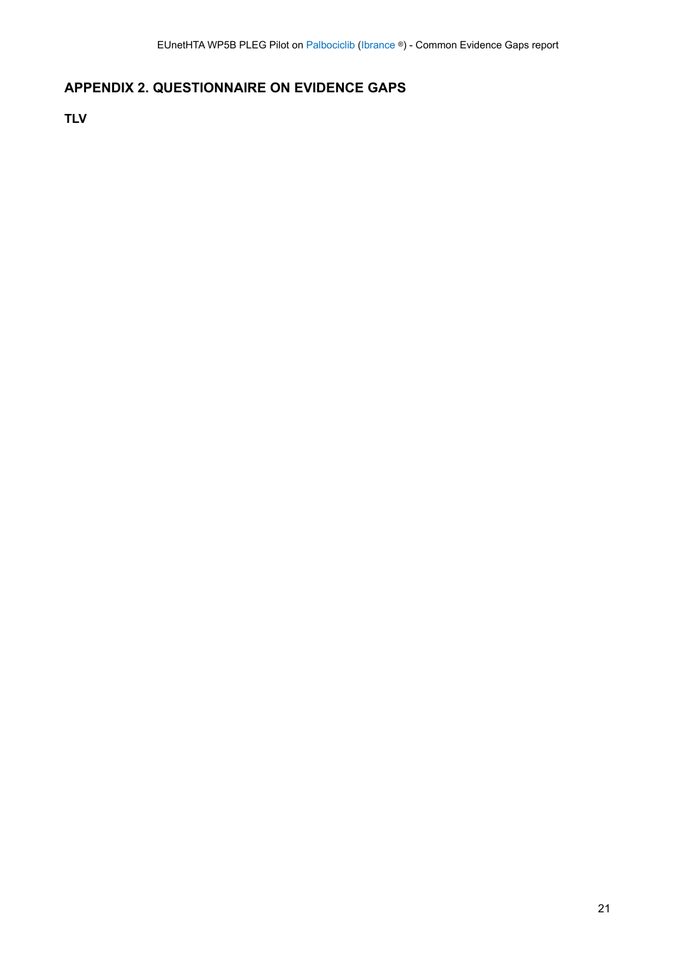## <span id="page-20-0"></span>**APPENDIX 2. QUESTIONNAIRE ON EVIDENCE GAPS**

<span id="page-20-1"></span>**TLV**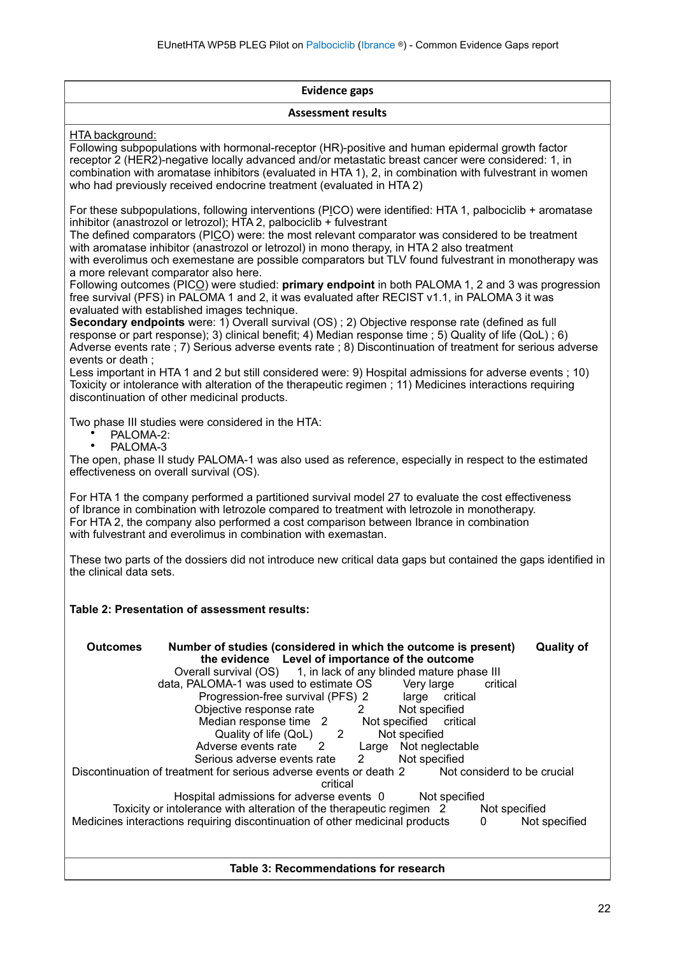| <b>Evidence gaps</b>                                                                                                                                                                                                                                                                                                                                                                                                                                                                                                                                                                                                                                                                                                                                                                       |
|--------------------------------------------------------------------------------------------------------------------------------------------------------------------------------------------------------------------------------------------------------------------------------------------------------------------------------------------------------------------------------------------------------------------------------------------------------------------------------------------------------------------------------------------------------------------------------------------------------------------------------------------------------------------------------------------------------------------------------------------------------------------------------------------|
| <b>Assessment results</b>                                                                                                                                                                                                                                                                                                                                                                                                                                                                                                                                                                                                                                                                                                                                                                  |
| HTA background:<br>Following subpopulations with hormonal-receptor (HR)-positive and human epidermal growth factor<br>receptor 2 (HER2)-negative locally advanced and/or metastatic breast cancer were considered: 1, in<br>combination with aromatase inhibitors (evaluated in HTA 1), 2, in combination with fulvestrant in women<br>who had previously received endocrine treatment (evaluated in HTA 2)                                                                                                                                                                                                                                                                                                                                                                                |
| For these subpopulations, following interventions (PICO) were identified: HTA 1, palbociclib + aromatase<br>inhibitor (anastrozol or letrozol); HTA 2, palbociclib + fulvestrant<br>The defined comparators (PICO) were: the most relevant comparator was considered to be treatment<br>with aromatase inhibitor (anastrozol or letrozol) in mono therapy, in HTA 2 also treatment<br>with everolimus och exemestane are possible comparators but TLV found fulvestrant in monotherapy was<br>a more relevant comparator also here.<br>Following outcomes (PICO) were studied: primary endpoint in both PALOMA 1, 2 and 3 was progression<br>free survival (PFS) in PALOMA 1 and 2, it was evaluated after RECIST v1.1, in PALOMA 3 it was<br>evaluated with established images technique. |
| Secondary endpoints were: 1) Overall survival (OS); 2) Objective response rate (defined as full<br>response or part response); 3) clinical benefit; 4) Median response time ; 5) Quality of life (QoL) ; 6)<br>Adverse events rate ; 7) Serious adverse events rate ; 8) Discontinuation of treatment for serious adverse<br>events or death;<br>Less important in HTA 1 and 2 but still considered were: 9) Hospital admissions for adverse events; 10)<br>Toxicity or intolerance with alteration of the therapeutic regimen; 11) Medicines interactions requiring<br>discontinuation of other medicinal products.                                                                                                                                                                       |
| Two phase III studies were considered in the HTA:<br>PALOMA-2:<br>٠<br>$\bullet$<br>PALOMA-3<br>The open, phase II study PALOMA-1 was also used as reference, especially in respect to the estimated<br>effectiveness on overall survival (OS).                                                                                                                                                                                                                                                                                                                                                                                                                                                                                                                                            |
| For HTA 1 the company performed a partitioned survival model 27 to evaluate the cost effectiveness<br>of Ibrance in combination with letrozole compared to treatment with letrozole in monotherapy.<br>For HTA 2, the company also performed a cost comparison between Ibrance in combination<br>with fulvestrant and everolimus in combination with exemastan.                                                                                                                                                                                                                                                                                                                                                                                                                            |
| These two parts of the dossiers did not introduce new critical data gaps but contained the gaps identified in<br>the clinical data sets.                                                                                                                                                                                                                                                                                                                                                                                                                                                                                                                                                                                                                                                   |
| Table 2: Presentation of assessment results:                                                                                                                                                                                                                                                                                                                                                                                                                                                                                                                                                                                                                                                                                                                                               |
| <b>Quality of</b><br><b>Outcomes</b><br>Number of studies (considered in which the outcome is present)<br>the evidence Level of importance of the outcome<br>Overall survival (OS) 1, in lack of any blinded mature phase III<br>data, PALOMA-1 was used to estimate OS<br>Very large<br>critical<br>Progression-free survival (PFS) 2<br>large<br>critical<br>Objective response rate<br>Not specified<br>2<br>Median response time 2 Not specified<br>critical<br>Quality of life (QoL) 2<br>Not specified<br>2<br>Adverse events rate<br>Large Not neglectable                                                                                                                                                                                                                          |
| Serious adverse events rate<br>Not specified<br>2<br>Not considerd to be crucial<br>Discontinuation of treatment for serious adverse events or death 2<br>critical                                                                                                                                                                                                                                                                                                                                                                                                                                                                                                                                                                                                                         |
| Hospital admissions for adverse events 0<br>Not specified<br>Toxicity or intolerance with alteration of the therapeutic regimen 2<br>Not specified<br>Medicines interactions requiring discontinuation of other medicinal products<br>0<br>Not specified                                                                                                                                                                                                                                                                                                                                                                                                                                                                                                                                   |
| Table 3: Recommendations for research                                                                                                                                                                                                                                                                                                                                                                                                                                                                                                                                                                                                                                                                                                                                                      |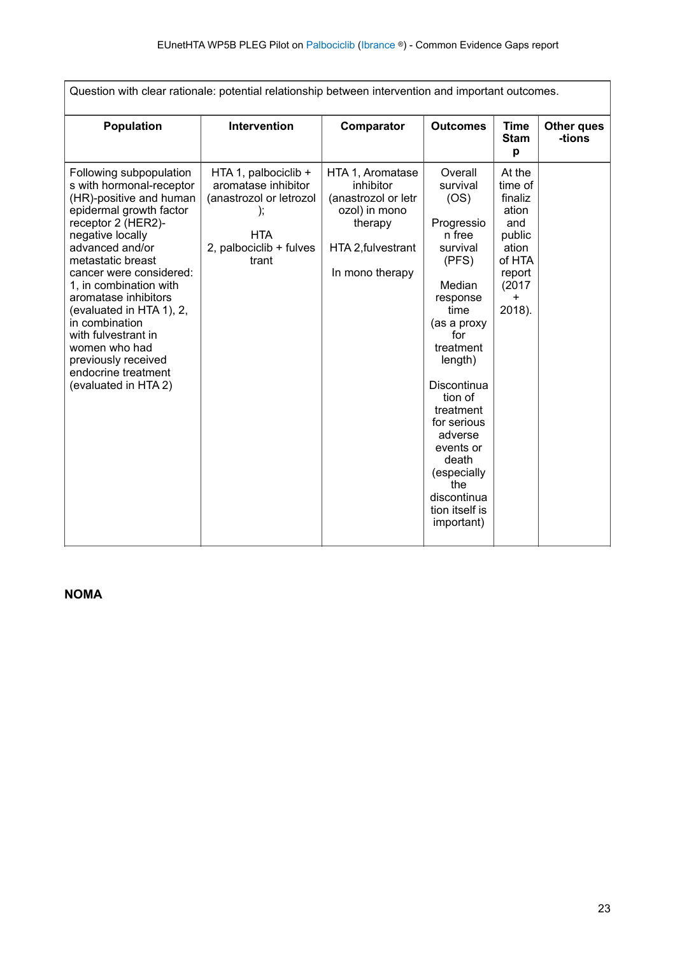| Question with clear rationale: potential relationship between intervention and important outcomes.                                                                                                                                                                                                                                                                                                                                   |                                                                                                                          |                                                                                                                           |                                                                                                                                                                                                                                                                                                                  |                                                                                                                      |                      |  |  |
|--------------------------------------------------------------------------------------------------------------------------------------------------------------------------------------------------------------------------------------------------------------------------------------------------------------------------------------------------------------------------------------------------------------------------------------|--------------------------------------------------------------------------------------------------------------------------|---------------------------------------------------------------------------------------------------------------------------|------------------------------------------------------------------------------------------------------------------------------------------------------------------------------------------------------------------------------------------------------------------------------------------------------------------|----------------------------------------------------------------------------------------------------------------------|----------------------|--|--|
| <b>Population</b>                                                                                                                                                                                                                                                                                                                                                                                                                    | Intervention                                                                                                             | Comparator                                                                                                                | <b>Outcomes</b>                                                                                                                                                                                                                                                                                                  | Time<br><b>Stam</b><br>p                                                                                             | Other ques<br>-tions |  |  |
| Following subpopulation<br>s with hormonal-receptor<br>(HR)-positive and human<br>epidermal growth factor<br>receptor 2 (HER2)-<br>negative locally<br>advanced and/or<br>metastatic breast<br>cancer were considered:<br>1, in combination with<br>aromatase inhibitors<br>(evaluated in HTA 1), 2,<br>in combination<br>with fulvestrant in<br>women who had<br>previously received<br>endocrine treatment<br>(evaluated in HTA 2) | HTA 1, palbociclib +<br>aromatase inhibitor<br>(anastrozol or letrozol<br><b>HTA</b><br>2, palbociclib + fulves<br>trant | HTA 1, Aromatase<br>inhibitor<br>(anastrozol or letr<br>ozol) in mono<br>therapy<br>HTA 2, fulvestrant<br>In mono therapy | Overall<br>survival<br>(OS)<br>Progressio<br>n free<br>survival<br>(PFS)<br>Median<br>response<br>time<br>(as a proxy<br>for<br>treatment<br>length)<br>Discontinua<br>tion of<br>treatment<br>for serious<br>adverse<br>events or<br>death<br>(especially<br>the<br>discontinua<br>tion itself is<br>important) | At the<br>time of<br>finaliz<br>ation<br>and<br>public<br>ation<br>of HTA<br>report<br>(2017)<br>$\ddot{}$<br>2018). |                      |  |  |

<span id="page-22-0"></span>**NOMA**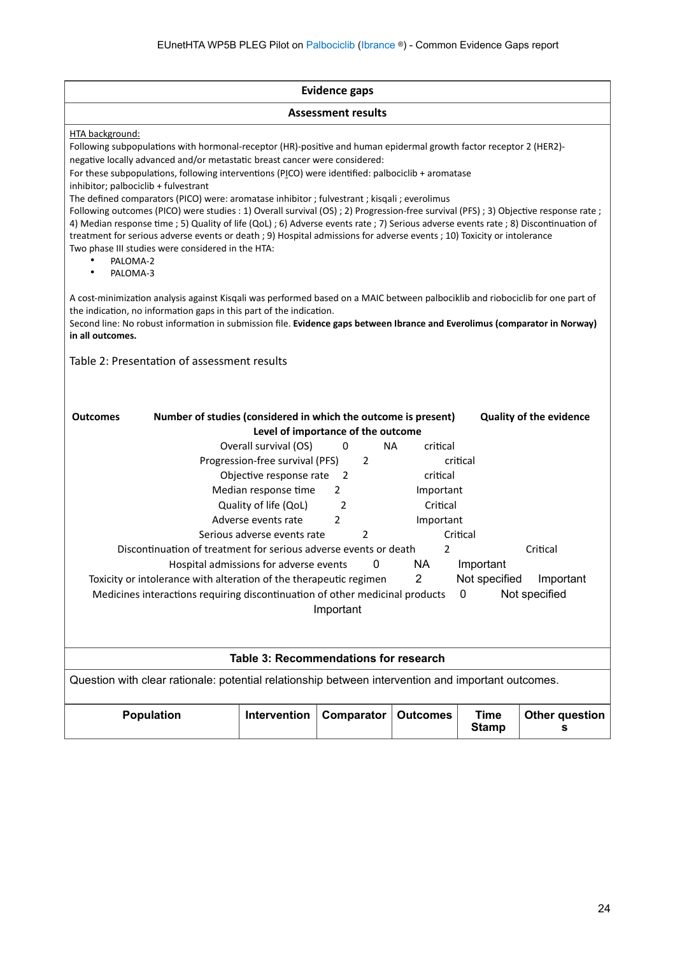| <b>Evidence gaps</b>                                                                                                                                                                                                                                                                                                                                                                                                                                                                                                                                                                                                                                                                                                                                                                                                                                                                                                                                       |              |            |                 |                             |                            |  |
|------------------------------------------------------------------------------------------------------------------------------------------------------------------------------------------------------------------------------------------------------------------------------------------------------------------------------------------------------------------------------------------------------------------------------------------------------------------------------------------------------------------------------------------------------------------------------------------------------------------------------------------------------------------------------------------------------------------------------------------------------------------------------------------------------------------------------------------------------------------------------------------------------------------------------------------------------------|--------------|------------|-----------------|-----------------------------|----------------------------|--|
| <b>Assessment results</b>                                                                                                                                                                                                                                                                                                                                                                                                                                                                                                                                                                                                                                                                                                                                                                                                                                                                                                                                  |              |            |                 |                             |                            |  |
| HTA background:<br>Following subpopulations with hormonal-receptor (HR)-positive and human epidermal growth factor receptor 2 (HER2)-<br>negative locally advanced and/or metastatic breast cancer were considered:<br>For these subpopulations, following interventions (PICO) were identified: palbociclib + aromatase<br>inhibitor; palbociclib + fulvestrant<br>The defined comparators (PICO) were: aromatase inhibitor ; fulvestrant ; kisqali ; everolimus<br>Following outcomes (PICO) were studies : 1) Overall survival (OS) ; 2) Progression-free survival (PFS) ; 3) Objective response rate ;<br>4) Median response time ; 5) Quality of life (QoL) ; 6) Adverse events rate ; 7) Serious adverse events rate ; 8) Discontinuation of<br>treatment for serious adverse events or death ; 9) Hospital admissions for adverse events ; 10) Toxicity or intolerance<br>Two phase III studies were considered in the HTA:<br>PALOMA-2<br>PALOMA-3 |              |            |                 |                             |                            |  |
| A cost-minimization analysis against Kisqali was performed based on a MAIC between palbociklib and riobociclib for one part of<br>the indication, no information gaps in this part of the indication.<br>Second line: No robust information in submission file. Evidence gaps between Ibrance and Everolimus (comparator in Norway)<br>in all outcomes.                                                                                                                                                                                                                                                                                                                                                                                                                                                                                                                                                                                                    |              |            |                 |                             |                            |  |
| Table 2: Presentation of assessment results                                                                                                                                                                                                                                                                                                                                                                                                                                                                                                                                                                                                                                                                                                                                                                                                                                                                                                                |              |            |                 |                             |                            |  |
| Number of studies (considered in which the outcome is present)<br><b>Quality of the evidence</b><br><b>Outcomes</b><br>Level of importance of the outcome<br>Overall survival (OS)<br>NA.<br>critical<br>0<br>Progression-free survival (PFS)<br>2<br>critical<br>Objective response rate<br>critical<br>$\overline{2}$<br>Median response time<br>$\overline{2}$<br>Important<br>Critical<br>Quality of life (QoL)<br>2<br>Adverse events rate<br>2<br>Important<br>Serious adverse events rate<br>Critical<br>2<br>Discontinuation of treatment for serious adverse events or death<br>Critical<br>2<br>0<br>NA.<br>Important<br>Hospital admissions for adverse events<br>$\overline{2}$<br>Not specified Important<br>Toxicity or intolerance with alteration of the therapeutic regimen<br>Medicines interactions requiring discontinuation of other medicinal products<br>Not specified<br>0<br>Important                                            |              |            |                 |                             |                            |  |
| Table 3: Recommendations for research                                                                                                                                                                                                                                                                                                                                                                                                                                                                                                                                                                                                                                                                                                                                                                                                                                                                                                                      |              |            |                 |                             |                            |  |
| Question with clear rationale: potential relationship between intervention and important outcomes.                                                                                                                                                                                                                                                                                                                                                                                                                                                                                                                                                                                                                                                                                                                                                                                                                                                         |              |            |                 |                             |                            |  |
| <b>Population</b>                                                                                                                                                                                                                                                                                                                                                                                                                                                                                                                                                                                                                                                                                                                                                                                                                                                                                                                                          | Intervention | Comparator | <b>Outcomes</b> | <b>Time</b><br><b>Stamp</b> | <b>Other question</b><br>s |  |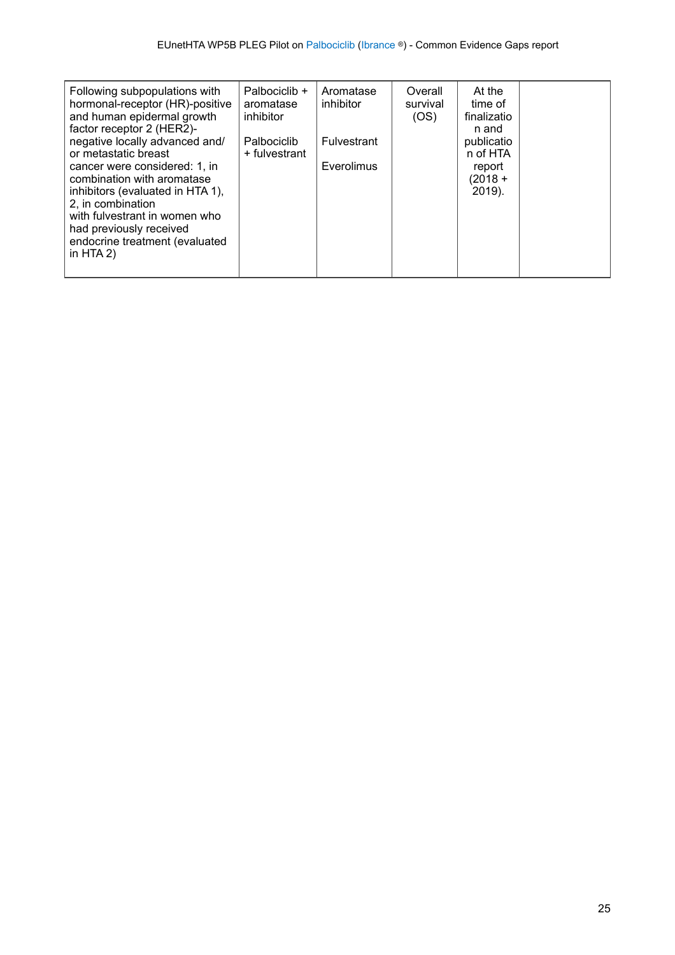| Following subpopulations with<br>hormonal-receptor (HR)-positive<br>and human epidermal growth<br>factor receptor 2 (HER2)-<br>negative locally advanced and/<br>or metastatic breast                                             | Palbociclib +<br>aromatase<br>inhibitor<br>Palbociclib<br>+ fulvestrant | Aromatase<br>inhibitor<br><b>Fulvestrant</b> | Overall<br>survival<br>(OS) | At the<br>time of<br>finalizatio<br>n and<br>publicatio<br>n of HTA |  |
|-----------------------------------------------------------------------------------------------------------------------------------------------------------------------------------------------------------------------------------|-------------------------------------------------------------------------|----------------------------------------------|-----------------------------|---------------------------------------------------------------------|--|
| cancer were considered: 1, in<br>combination with aromatase<br>inhibitors (evaluated in HTA 1),<br>2. in combination<br>with fulvestrant in women who<br>had previously received<br>endocrine treatment (evaluated<br>in HTA $2)$ |                                                                         | Everolimus                                   |                             | report<br>$(2018 +$<br>2019).                                       |  |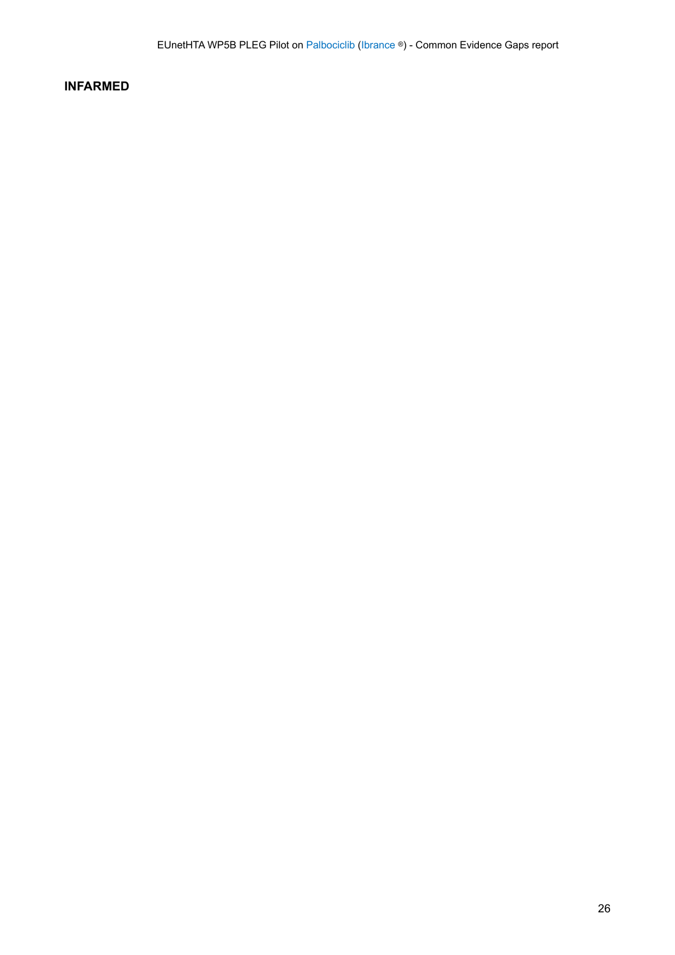### <span id="page-25-0"></span>**INFARMED**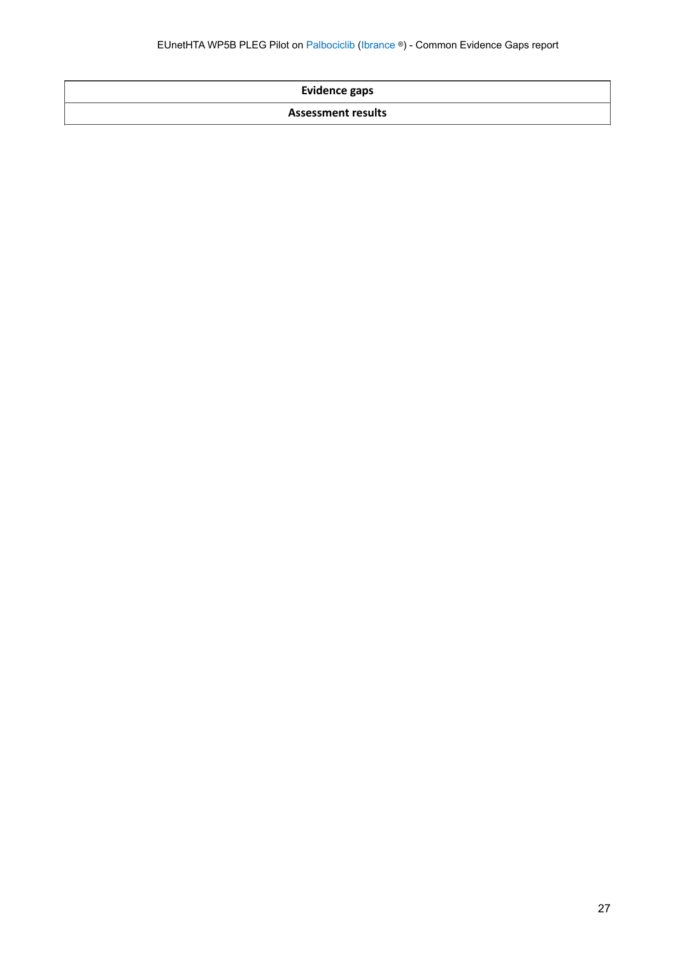| <b>Evidence gaps</b> |  |
|----------------------|--|
|----------------------|--|

#### **Assessment results**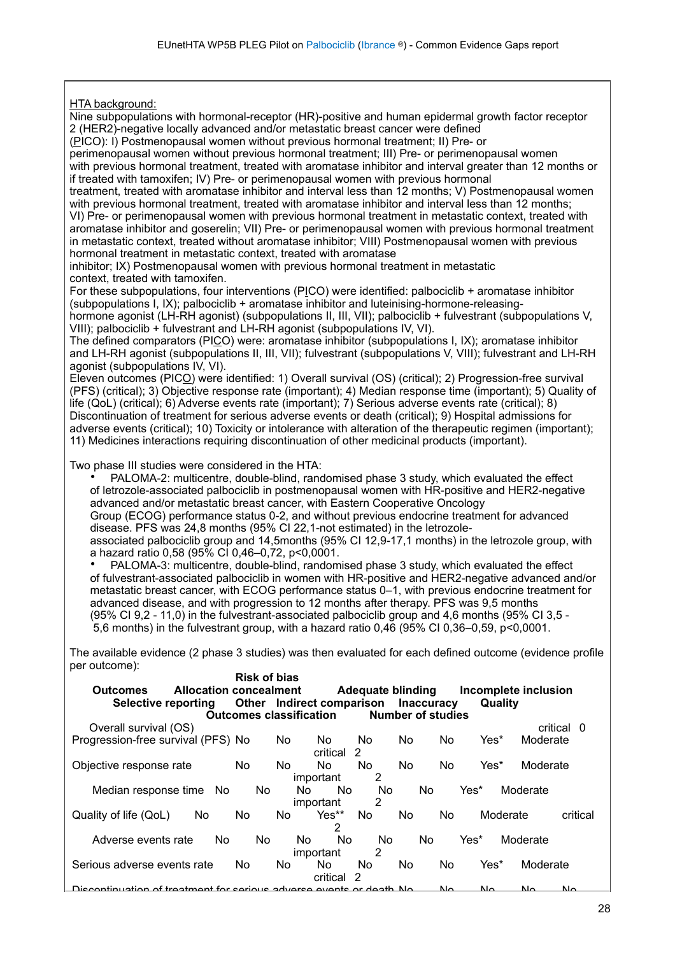HTA background: Nine subpopulations with hormonal-receptor (HR)-positive and human epidermal growth factor receptor 2 (HER2)-negative locally advanced and/or metastatic breast cancer were defined (PICO): I) Postmenopausal women without previous hormonal treatment; II) Pre- or perimenopausal women without previous hormonal treatment; III) Pre- or perimenopausal women with previous hormonal treatment, treated with aromatase inhibitor and interval greater than 12 months or if treated with tamoxifen; IV) Pre- or perimenopausal women with previous hormonal treatment, treated with aromatase inhibitor and interval less than 12 months; V) Postmenopausal women with previous hormonal treatment, treated with aromatase inhibitor and interval less than 12 months; VI) Pre- or perimenopausal women with previous hormonal treatment in metastatic context, treated with aromatase inhibitor and goserelin; VII) Pre- or perimenopausal women with previous hormonal treatment in metastatic context, treated without aromatase inhibitor; VIII) Postmenopausal women with previous hormonal treatment in metastatic context, treated with aromatase inhibitor; IX) Postmenopausal women with previous hormonal treatment in metastatic context, treated with tamoxifen. For these subpopulations, four interventions (PICO) were identified: palbociclib + aromatase inhibitor (subpopulations I, IX); palbociclib + aromatase inhibitor and luteinising-hormone-releasinghormone agonist (LH-RH agonist) (subpopulations II, III, VII); palbociclib + fulvestrant (subpopulations V, VIII); palbociclib + fulvestrant and LH-RH agonist (subpopulations IV, VI). The defined comparators (PICO) were: aromatase inhibitor (subpopulations I, IX); aromatase inhibitor and LH-RH agonist (subpopulations II, III, VII); fulvestrant (subpopulations V, VIII); fulvestrant and LH-RH agonist (subpopulations IV, VI). Eleven outcomes (PICO) were identified: 1) Overall survival (OS) (critical); 2) Progression-free survival (PFS) (critical); 3) Objective response rate (important); 4) Median response time (important); 5) Quality of life (QoL) (critical); 6) Adverse events rate (important); 7) Serious adverse events rate (critical); 8) Discontinuation of treatment for serious adverse events or death (critical); 9) Hospital admissions for adverse events (critical); 10) Toxicity or intolerance with alteration of the therapeutic regimen (important); 11) Medicines interactions requiring discontinuation of other medicinal products (important). Two phase III studies were considered in the HTA: • PALOMA-2: multicentre, double-blind, randomised phase 3 study, which evaluated the effect of letrozole-associated palbociclib in postmenopausal women with HR-positive and HER2-negative advanced and/or metastatic breast cancer, with Eastern Cooperative Oncology Group (ECOG) performance status 0-2, and without previous endocrine treatment for advanced disease. PFS was 24,8 months (95% CI 22,1-not estimated) in the letrozoleassociated palbociclib group and 14,5months (95% CI 12,9-17,1 months) in the letrozole group, with a hazard ratio 0,58 (95% CI 0,46–0,72, p<0,0001. • PALOMA-3: multicentre, double-blind, randomised phase 3 study, which evaluated the effect of fulvestrant-associated palbociclib in women with HR-positive and HER2-negative advanced and/or metastatic breast cancer, with ECOG performance status 0–1, with previous endocrine treatment for advanced disease, and with progression to 12 months after therapy. PFS was 9,5 months (95% CI 9,2 - 11,0) in the fulvestrant-associated palbociclib group and 4,6 months (95% CI 3,5 - 5,6 months) in the fulvestrant group, with a hazard ratio 0,46 (95% CI 0,36–0,59, p<0,0001. The available evidence (2 phase 3 studies) was then evaluated for each defined outcome (evidence profile per outcome): **Risk of bias Outcomes Allocation concealment Adequate blinding Incomplete inclusion Selective reporting Other Indirect comparison Inaccuracy Quality Outcomes classification** Overall survival (OS) critical 0 Progression-free survival (PFS) No No No No No No Yes\* Moderate critical 2<br>No No Objective response rate Mo No No No No No Yes\* Moderate important Median response time No No No No No No Yes\* Moderate important<br>
Yes\*\* No Quality of life (QoL) No No No Yes\*\* No No No Moderate critical  $\mathfrak{p}$ Adverse events rate No No No No No No Yes\* Moderate<br>
important 2 important Serious adverse events rate No No No No No No Yes\* Moderate critical 2

Discontinuation of treatment for serious adverse events or death No No No No No No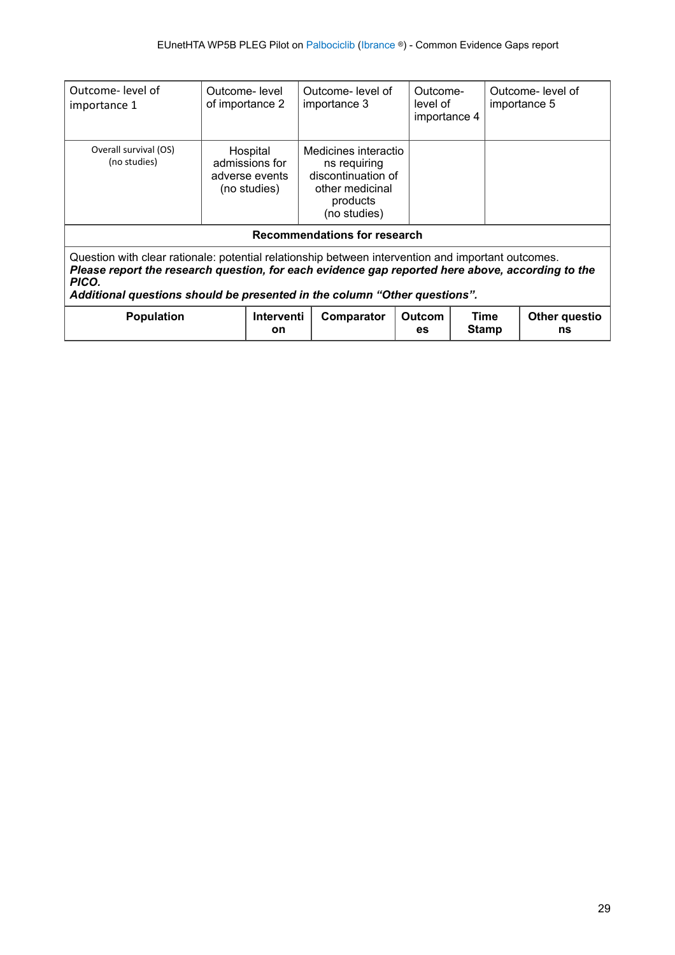| Outcome-level of<br>importance 1                                                                                                                                                                                                                                                             | Outcome-level<br>of importance 2                             | Outcome-level of<br>importance 3                                                                          | Outcome-<br>level of<br>importance 4 |                      | Outcome- level of<br>importance 5 |  |  |
|----------------------------------------------------------------------------------------------------------------------------------------------------------------------------------------------------------------------------------------------------------------------------------------------|--------------------------------------------------------------|-----------------------------------------------------------------------------------------------------------|--------------------------------------|----------------------|-----------------------------------|--|--|
| Overall survival (OS)<br>(no studies)                                                                                                                                                                                                                                                        | Hospital<br>admissions for<br>adverse events<br>(no studies) | Medicines interactio<br>ns requiring<br>discontinuation of<br>other medicinal<br>products<br>(no studies) |                                      |                      |                                   |  |  |
| Recommendations for research                                                                                                                                                                                                                                                                 |                                                              |                                                                                                           |                                      |                      |                                   |  |  |
| Question with clear rationale: potential relationship between intervention and important outcomes.<br>Please report the research question, for each evidence gap reported here above, according to the<br>PICO.<br>Additional questions should be presented in the column "Other questions". |                                                              |                                                                                                           |                                      |                      |                                   |  |  |
| <b>Population</b>                                                                                                                                                                                                                                                                            | Interventi<br>on                                             | Comparator                                                                                                | <b>Outcom</b><br>es.                 | Time<br><b>Stamp</b> | Other questio<br>ns               |  |  |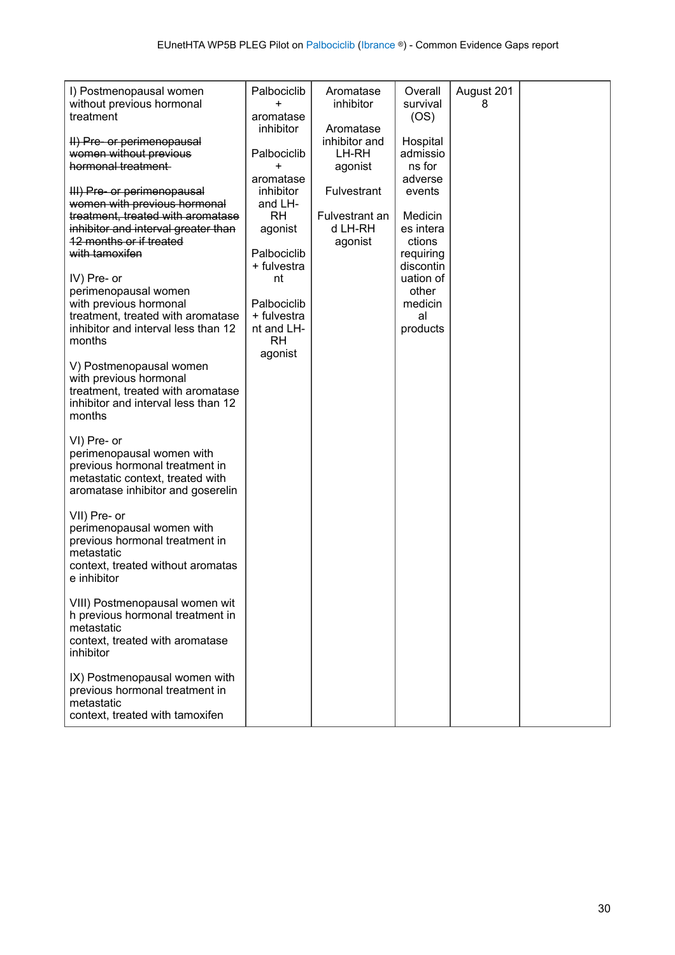| I) Postmenopausal women                                     | Palbociclib<br>$\ddot{}$   | Aromatase          | Overall          | August 201 |  |
|-------------------------------------------------------------|----------------------------|--------------------|------------------|------------|--|
| without previous hormonal<br>treatment                      | aromatase                  | inhibitor          | survival<br>(OS) | 8          |  |
|                                                             | inhibitor                  | Aromatase          |                  |            |  |
| II) Pre- or perimenopausal                                  |                            | inhibitor and      | Hospital         |            |  |
| women without previous                                      | Palbociclib                | LH-RH              | admissio         |            |  |
| hormonal treatment                                          | $\ddot{}$                  | agonist            | ns for           |            |  |
|                                                             | aromatase                  |                    | adverse          |            |  |
| III) Pre- or perimenopausal                                 | inhibitor                  | <b>Fulvestrant</b> | events           |            |  |
| women with previous hormonal                                | and LH-                    |                    |                  |            |  |
| treatment, treated with aromatase                           | <b>RH</b>                  | Fulvestrant an     | Medicin          |            |  |
| inhibitor and interval greater than                         | agonist                    | d LH-RH            | es intera        |            |  |
| 12 months or if treated                                     |                            | agonist            | ctions           |            |  |
| with tamoxifen                                              | Palbociclib                |                    | requiring        |            |  |
|                                                             | + fulvestra                |                    | discontin        |            |  |
| IV) Pre- or                                                 | nt                         |                    | uation of        |            |  |
| perimenopausal women                                        |                            |                    | other            |            |  |
| with previous hormonal<br>treatment, treated with aromatase | Palbociclib<br>+ fulvestra |                    | medicin<br>al    |            |  |
| inhibitor and interval less than 12                         | nt and LH-                 |                    | products         |            |  |
| months                                                      | <b>RH</b>                  |                    |                  |            |  |
|                                                             | agonist                    |                    |                  |            |  |
| V) Postmenopausal women                                     |                            |                    |                  |            |  |
| with previous hormonal                                      |                            |                    |                  |            |  |
| treatment, treated with aromatase                           |                            |                    |                  |            |  |
| inhibitor and interval less than 12                         |                            |                    |                  |            |  |
| months                                                      |                            |                    |                  |            |  |
|                                                             |                            |                    |                  |            |  |
| VI) Pre- or                                                 |                            |                    |                  |            |  |
| perimenopausal women with<br>previous hormonal treatment in |                            |                    |                  |            |  |
| metastatic context, treated with                            |                            |                    |                  |            |  |
| aromatase inhibitor and goserelin                           |                            |                    |                  |            |  |
|                                                             |                            |                    |                  |            |  |
| VII) Pre- or                                                |                            |                    |                  |            |  |
| perimenopausal women with                                   |                            |                    |                  |            |  |
| previous hormonal treatment in                              |                            |                    |                  |            |  |
| metastatic                                                  |                            |                    |                  |            |  |
| context, treated without aromatas                           |                            |                    |                  |            |  |
| e inhibitor                                                 |                            |                    |                  |            |  |
|                                                             |                            |                    |                  |            |  |
| VIII) Postmenopausal women wit                              |                            |                    |                  |            |  |
| h previous hormonal treatment in<br>metastatic              |                            |                    |                  |            |  |
| context, treated with aromatase                             |                            |                    |                  |            |  |
| inhibitor                                                   |                            |                    |                  |            |  |
|                                                             |                            |                    |                  |            |  |
| IX) Postmenopausal women with                               |                            |                    |                  |            |  |
| previous hormonal treatment in                              |                            |                    |                  |            |  |
| metastatic                                                  |                            |                    |                  |            |  |
| context, treated with tamoxifen                             |                            |                    |                  |            |  |